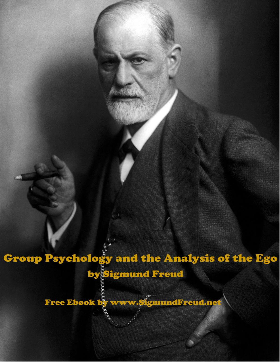**Group Psychology and the Analysis of the Ego** 

by Sigmund Freud

Free Ebook by www.9igmundFreud.net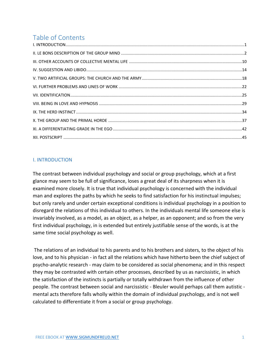# Table of Contents

#### <span id="page-1-0"></span>I. INTRODUCTION

The contrast between individual psychology and social or group psychology, which at a first glance may seem to be full of significance, loses a great deal of its sharpness when it is examined more closely. It is true that individual psychology is concerned with the individual man and explores the paths by which he seeks to find satisfaction for his instinctual impulses; but only rarely and under certain exceptional conditions is individual psychology in a position to disregard the relations of this individual to others. In the individuals mental life someone else is invariably involved, as a model, as an object, as a helper, as an opponent; and so from the very first individual psychology, in is extended but entirely justifiable sense of the words, is at the same time social psychology as well.

The relations of an individual to his parents and to his brothers and sisters, to the object of his love, and to his physician - in fact all the relations which have hitherto been the chief subject of psycho-analytic research - may claim to be considered as social phenomena; and in this respect they may be contrasted with certain other processes, described by us as narcissistic, in which the satisfaction of the instincts is partially or totally withdrawn from the influence of other people. The contrast between social and narcissistic - Bleuler would perhaps call them autistic mental acts therefore falls wholly within the domain of individual psychology, and is not well calculated to differentiate it from a social or group psychology.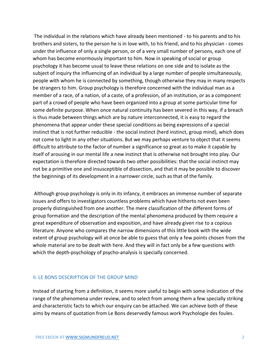The individual in the relations which have already been mentioned - to his parents and to his brothers and sisters, to the person he is in love with, to his friend, and to his physician - comes under the influence of only a single person, or of a very small number of persons, each one of whom has become enormously important to him. Now in speaking of social or group psychology it has become usual to leave these relations on one side and to isolate as the subject of inquiry the influencing of an individual by a large number of people simultaneously, people with whom he is connected by something, though otherwise they may in many respects be strangers to him. Group psychology is therefore concerned with the individual man as a member of a race, of a nation, of a caste, of a profession, of an institution, or as a component part of a crowd of people who have been organized into a group at some particular time for some definite purpose. When once natural continuity has been severed in this way, if a breach is thus made between things which are by nature interconnected, it is easy to regard the phenomena that appear under these special conditions as being expressions of a special instinct that is not further reducible - the social instinct (herd instinct, group mind), which does not come to light in any other situations. But we may perhaps venture to object that it seems difficult to attribute to the factor of number a significance so great as to make it capable by itself of arousing in our mental life a new instinct that is otherwise not brought into play. Our expectation is therefore directed towards two other possibilities: that the social instinct may not be a primitive one and insusceptible of dissection, and that it may be possible to discover the beginnings of its development in a narrower circle, such as that of the family.

Although group psychology is only in its infancy, it embraces an immense number of separate issues and offers to investigators countless problems which have hitherto not even been properly distinguished from one another. The mere classification of the different forms of group formation and the description of the mental phenomena produced by them require a great expenditure of observation and exposition, and have already given rise to a copious literature. Anyone who compares the narrow dimensions of this little book with the wide extent of group psychology will at once be able to guess that only a few points chosen from the whole material are to be dealt with here. And they will in fact only be a few questions with which the depth-psychology of psycho-analysis is specially concerned.

#### <span id="page-2-0"></span>II. LE BONS DESCRIPTION OF THE GROUP MIND

Instead of starting from a definition, it seems more useful to begin with some indication of the range of the phenomena under review, and to select from among them a few specially striking and characteristic facts to which our enquiry can be attached. We can achieve both of these aims by means of quotation from Le Bons deservedly famous work Psychologie des foules.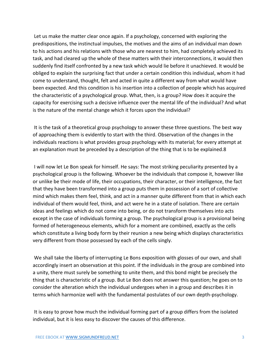Let us make the matter clear once again. If a psychology, concerned with exploring the predispositions, the instinctual impulses, the motives and the aims of an individual man down to his actions and his relations with those who are nearest to him, had completely achieved its task, and had cleared up the whole of these matters with their interconnections, it would then suddenly find itself confronted by a new task which would lie before it unachieved. It would be obliged to explain the surprising fact that under a certain condition this individual, whom it had come to understand, thought, felt and acted in quite a different way from what would have been expected. And this condition is his insertion into a collection of people which has acquired the characteristic of a psychological group. What, then, is a group? How does it acquire the capacity for exercising such a decisive influence over the mental life of the individual? And what is the nature of the mental change which it forces upon the individual?

It is the task of a theoretical group psychology to answer these three questions. The best way of approaching them is evidently to start with the third. Observation of the changes in the individuals reactions is what provides group psychology with its material; for every attempt at an explanation must be preceded by a description of the thing that is to be explained.8

I will now let Le Bon speak for himself. He says: The most striking peculiarity presented by a psychological group is the following. Whoever be the individuals that compose it, however like or unlike be their mode of life, their occupations, their character, or their intelligence, the fact that they have been transformed into a group puts them in possession of a sort of collective mind which makes them feel, think, and act in a manner quite different from that in which each individual of them would feel, think, and act were he in a state of isolation. There are certain ideas and feelings which do not come into being, or do not transform themselves into acts except in the case of individuals forming a group. The psychological group is a provisional being formed of heterogeneous elements, which for a moment are combined, exactly as the cells which constitute a living body form by their reunion a new being which displays characteristics very different from those possessed by each of the cells singly.

We shall take the liberty of interrupting Le Bons exposition with glosses of our own, and shall accordingly insert an observation at this point. If the individuals in the group are combined into a unity, there must surely be something to unite them, and this bond might be precisely the thing that is characteristic of a group. But Le Bon does not answer this question; he goes on to consider the alteration which the individual undergoes when in a group and describes it in terms which harmonize well with the fundamental postulates of our own depth-psychology.

It is easy to prove how much the individual forming part of a group differs from the isolated individual, but it is less easy to discover the causes of this difference.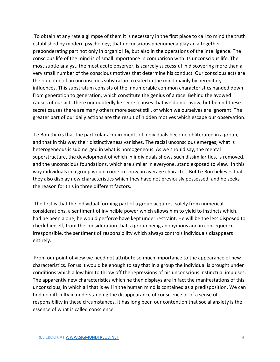To obtain at any rate a glimpse of them it is necessary in the first place to call to mind the truth established by modern psychology, that unconscious phenomena play an altogether preponderating part not only in organic life, but also in the operations of the intelligence. The conscious life of the mind is of small importance in comparison with its unconscious life. The most subtle analyst, the most acute observer, is scarcely successful in discovering more than a very small number of the conscious motives that determine his conduct. Our conscious acts are the outcome of an unconscious substratum created in the mind mainly by hereditary influences. This substratum consists of the innumerable common characteristics handed down from generation to generation, which constitute the genius of a race. Behind the avowed causes of our acts there undoubtedly lie secret causes that we do not avow, but behind these secret causes there are many others more secret still, of which we ourselves are ignorant. The greater part of our daily actions are the result of hidden motives which escape our observation.

Le Bon thinks that the particular acquirements of individuals become obliterated in a group, and that in this way their distinctiveness vanishes. The racial unconscious emerges; what is heterogeneous is submerged in what is homogeneous. As we should say, the mental superstructure, the development of which in individuals shows such dissimilarities, is removed, and the unconscious foundations, which are similar in everyone, stand exposed to view. In this way individuals in a group would come to show an average character. But Le Bon believes that they also display new characteristics which they have not previously possessed, and he seeks the reason for this in three different factors.

The first is that the individual forming part of a group acquires, solely from numerical considerations, a sentiment of invincible power which allows him to yield to instincts which, had he been alone, he would perforce have kept under restraint. He will be the less disposed to check himself, from the consideration that, a group being anonymous and in consequence irresponsible, the sentiment of responsibility which always controls individuals disappears entirely.

From our point of view we need not attribute so much importance to the appearance of new characteristics. For us it would be enough to say that in a group the individual is brought under conditions which allow him to throw off the repressions of his unconscious instinctual impulses. The apparently new characteristics which he then displays are in fact the manifestations of this unconscious, in which all that is evil in the human mind is contained as a predisposition. We can find no difficulty in understanding the disappearance of conscience or of a sense of responsibility in these circumstances. It has long been our contention that social anxiety is the essence of what is called conscience.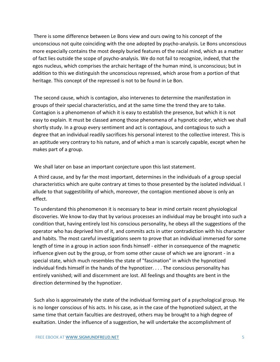There is some difference between Le Bons view and ours owing to his concept of the unconscious not quite coinciding with the one adopted by psycho-analysis. Le Bons unconscious more especially contains the most deeply buried features of the racial mind, which as a matter of fact lies outside the scope of psycho-analysis. We do not fail to recognize, indeed, that the egos nucleus, which comprises the archaic heritage of the human mind, is unconscious; but in addition to this we distinguish the unconscious repressed, which arose from a portion of that heritage. This concept of the repressed is not to be found in Le Bon.

The second cause, which is contagion, also intervenes to determine the manifestation in groups of their special characteristics, and at the same time the trend they are to take. Contagion is a phenomenon of which it is easy to establish the presence, but which it is not easy to explain. It must be classed among those phenomena of a hypnotic order, which we shall shortly study. In a group every sentiment and act is contagious, and contagious to such a degree that an individual readily sacrifices his personal interest to the collective interest. This is an aptitude very contrary to his nature, and of which a man is scarcely capable, except when he makes part of a group.

We shall later on base an important conjecture upon this last statement.

A third cause, and by far the most important, determines in the individuals of a group special characteristics which are quite contrary at times to those presented by the isolated individual. I allude to that suggestibility of which, moreover, the contagion mentioned above is only an effect.

To understand this phenomenon it is necessary to bear in mind certain recent physiological discoveries. We know to-day that by various processes an individual may be brought into such a condition that, having entirely lost his conscious personality, he obeys all the suggestions of the operator who has deprived him of it, and commits acts in utter contradiction with his character and habits. The most careful investigations seem to prove that an individual immersed for some length of time in a group in action soon finds himself - either in consequence of the magnetic influence given out by the group, or from some other cause of which we are ignorant - in a special state, which much resembles the state of "fascination" in which the hypnotized individual finds himself in the hands of the hypnotizer. . . . The conscious personality has entirely vanished; will and discernment are lost. All feelings and thoughts are bent in the direction determined by the hypnotizer.

Such also is approximately the state of the individual forming part of a psychological group. He is no longer conscious of his acts. In his case, as in the case of the hypnotized subject, at the same time that certain faculties are destroyed, others may be brought to a high degree of exaltation. Under the influence of a suggestion, he will undertake the accomplishment of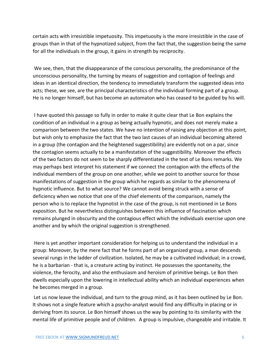certain acts with irresistible impetuosity. This impetuosity is the more irresistible in the case of groups than in that of the hypnotized subject, from the fact that, the suggestion being the same for all the individuals in the group, it gains in strength by reciprocity.

We see, then, that the disappearance of the conscious personality, the predominance of the unconscious personality, the turning by means of suggestion and contagion of feelings and ideas in an identical direction, the tendency to immediately transform the suggested ideas into acts; these, we see, are the principal characteristics of the individual forming part of a group. He is no longer himself, but has become an automaton who has ceased to be guided by his will.

I have quoted this passage so fully in order to make it quite clear that Le Bon explains the condition of an individual in a group as being actually hypnotic, and does not merely make a comparison between the two states. We have no intention of raising any objection at this point, but wish only to emphasize the fact that the two last causes of an individual becoming altered in a group (the contagion and the heightened suggestibility) are evidently not on a par, since the contagion seems actually to be a manifestation of the suggestibility. Moreover the effects of the two factors do not seem to be sharply differentiated in the text of Le Bons remarks. We may perhaps best interpret his statement if we connect the contagion with the effects of the individual members of the group on one another, while we point to another source for those manifestations of suggestion in the group which he regards as similar to the phenomena of hypnotic influence. But to what source? We cannot avoid being struck with a sense of deficiency when we notice that one of the chief elements of the comparison, namely the person who is to replace the hypnotist in the case of the group, is not mentioned in Le Bons exposition. But he nevertheless distinguishes between this influence of fascination which remains plunged in obscurity and the contagious effect which the individuals exercise upon one another and by which the original suggestion is strengthened.

Here is yet another important consideration for helping us to understand the individual in a group: Moreover, by the mere fact that he forms part of an organized group, a man descends several rungs in the ladder of civilization. Isolated, he may be a cultivated individual; in a crowd, he is a barbarian - that is, a creature acting by instinct. He possesses the spontaneity, the violence, the ferocity, and also the enthusiasm and heroism of primitive beings. Le Bon then dwells especially upon the lowering in intellectual ability which an individual experiences when he becomes merged in a group.

Let us now leave the individual, and turn to the group mind, as it has been outlined by Le Bon. It shows not a single feature which a psycho-analyst would find any difficulty in placing or in deriving from its source. Le Bon himself shows us the way by pointing to its similarity with the mental life of primitive people and of children. A group is impulsive, changeable and irritable. It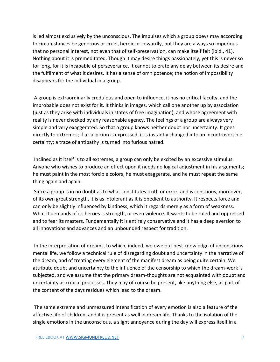is led almost exclusively by the unconscious. The impulses which a group obeys may according to circumstances be generous or cruel, heroic or cowardly, but they are always so imperious that no personal interest, not even that of self-preservation, can make itself felt (ibid., 41). Nothing about it is premeditated. Though it may desire things passionately, yet this is never so for long, for it is incapable of perseverance. It cannot tolerate any delay between its desire and the fulfilment of what it desires. It has a sense of omnipotence; the notion of impossibility disappears for the individual in a group.

A group is extraordinarily credulous and open to influence, it has no critical faculty, and the improbable does not exist for it. It thinks in images, which call one another up by association (just as they arise with individuals in states of free imagination), and whose agreement with reality is never checked by any reasonable agency. The feelings of a group are always very simple and very exaggerated. So that a group knows neither doubt nor uncertainty. It goes directly to extremes; if a suspicion is expressed, it is instantly changed into an incontrovertible certainty; a trace of antipathy is turned into furious hatred.

Inclined as it itself is to all extremes, a group can only be excited by an excessive stimulus. Anyone who wishes to produce an effect upon it needs no logical adjustment in his arguments; he must paint in the most forcible colors, he must exaggerate, and he must repeat the same thing again and again.

Since a group is in no doubt as to what constitutes truth or error, and is conscious, moreover, of its own great strength, it is as intolerant as it is obedient to authority. It respects force and can only be slightly influenced by kindness, which it regards merely as a form of weakness. What it demands of its heroes is strength, or even violence. It wants to be ruled and oppressed and to fear its masters. Fundamentally it is entirely conservative and it has a deep aversion to all innovations and advances and an unbounded respect for tradition.

In the interpretation of dreams, to which, indeed, we owe our best knowledge of unconscious mental life, we follow a technical rule of disregarding doubt and uncertainty in the narrative of the dream, and of treating every element of the manifest dream as being quite certain. We attribute doubt and uncertainty to the influence of the censorship to which the dream-work is subjected, and we assume that the primary dream-thoughts are not acquainted with doubt and uncertainty as critical processes. They may of course be present, like anything else, as part of the content of the days residues which lead to the dream.

The same extreme and unmeasured intensification of every emotion is also a feature of the affective life of children, and it is present as well in dream life. Thanks to the isolation of the single emotions in the unconscious, a slight annoyance during the day will express itself in a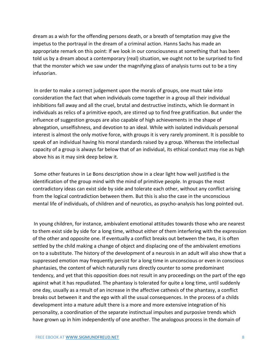dream as a wish for the offending persons death, or a breath of temptation may give the impetus to the portrayal in the dream of a criminal action. Hanns Sachs has made an appropriate remark on this point: If we look in our consciousness at something that has been told us by a dream about a contemporary (real) situation, we ought not to be surprised to find that the monster which we saw under the magnifying glass of analysis turns out to be a tiny infusorian.

In order to make a correct judgement upon the morals of groups, one must take into consideration the fact that when individuals come together in a group all their individual inhibitions fall away and all the cruel, brutal and destructive instincts, which lie dormant in individuals as relics of a primitive epoch, are stirred up to find free gratification. But under the influence of suggestion groups are also capable of high achievements in the shape of abnegation, unselfishness, and devotion to an ideal. While with isolated individuals personal interest is almost the only motive force, with groups it is very rarely prominent. It is possible to speak of an individual having his moral standards raised by a group. Whereas the intellectual capacity of a group is always far below that of an individual, its ethical conduct may rise as high above his as it may sink deep below it.

Some other features in Le Bons description show in a clear light how well justified is the identification of the group mind with the mind of primitive people. In groups the most contradictory ideas can exist side by side and tolerate each other, without any conflict arising from the logical contradiction between them. But this is also the case in the unconscious mental life of individuals, of children and of neurotics, as psycho-analysis has long pointed out.

In young children, for instance, ambivalent emotional attitudes towards those who are nearest to them exist side by side for a long time, without either of them interfering with the expression of the other and opposite one. If eventually a conflict breaks out between the two, it is often settled by the child making a change of object and displacing one of the ambivalent emotions on to a substitute. The history of the development of a neurosis in an adult will also show that a suppressed emotion may frequently persist for a long time in unconscious or even in conscious phantasies, the content of which naturally runs directly counter to some predominant tendency, and yet that this opposition does not result in any proceedings on the part of the ego against what it has repudiated. The phantasy is tolerated for quite a long time, until suddenly one day, usually as a result of an increase in the affective cathexis of the phantasy, a conflict breaks out between it and the ego with all the usual consequences. In the process of a childs development into a mature adult there is a more and more extensive integration of his personality, a coordination of the separate instinctual impulses and purposive trends which have grown up in him independently of one another. The analogous process in the domain of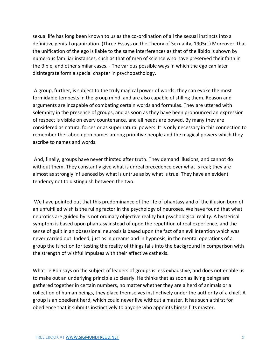sexual life has long been known to us as the co-ordination of all the sexual instincts into a definitive genital organization. (Three Essays on the Theory of Sexuality, 1905d.) Moreover, that the unification of the ego is liable to the same interferences as that of the libido is shown by numerous familiar instances, such as that of men of science who have preserved their faith in the Bible, and other similar cases. - The various possible ways in which the ego can later disintegrate form a special chapter in psychopathology.

A group, further, is subject to the truly magical power of words; they can evoke the most formidable tempests in the group mind, and are also capable of stilling them. Reason and arguments are incapable of combating certain words and formulas. They are uttered with solemnity in the presence of groups, and as soon as they have been pronounced an expression of respect is visible on every countenance, and all heads are bowed. By many they are considered as natural forces or as supernatural powers. It is only necessary in this connection to remember the taboo upon names among primitive people and the magical powers which they ascribe to names and words.

And, finally, groups have never thirsted after truth. They demand illusions, and cannot do without them. They constantly give what is unreal precedence over what is real; they are almost as strongly influenced by what is untrue as by what is true. They have an evident tendency not to distinguish between the two.

We have pointed out that this predominance of the life of phantasy and of the illusion born of an unfulfilled wish is the ruling factor in the psychology of neuroses. We have found that what neurotics are guided by is not ordinary objective reality but psychological reality. A hysterical symptom is based upon phantasy instead of upon the repetition of real experience, and the sense of guilt in an obsessional neurosis is based upon the fact of an evil intention which was never carried out. Indeed, just as in dreams and in hypnosis, in the mental operations of a group the function for testing the reality of things falls into the background in comparison with the strength of wishful impulses with their affective cathexis.

What Le Bon says on the subject of leaders of groups is less exhaustive, and does not enable us to make out an underlying principle so clearly. He thinks that as soon as living beings are gathered together in certain numbers, no matter whether they are a herd of animals or a collection of human beings, they place themselves instinctively under the authority of a chief. A group is an obedient herd, which could never live without a master. It has such a thirst for obedience that it submits instinctively to anyone who appoints himself its master.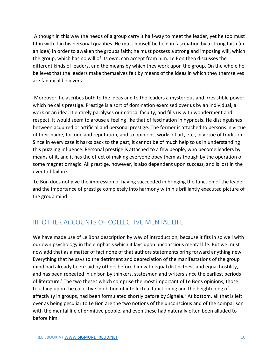Although in this way the needs of a group carry it half-way to meet the leader, yet he too must fit in with it in his personal qualities. He must himself be held in fascination by a strong faith (in an idea) in order to awaken the groups faith; he must possess a strong and imposing will, which the group, which has no will of its own, can accept from him. Le Bon then discusses the different kinds of leaders, and the means by which they work upon the group. On the whole he believes that the leaders make themselves felt by means of the ideas in which they themselves are fanatical believers.

Moreover, he ascribes both to the ideas and to the leaders a mysterious and irresistible power, which he calls prestige. Prestige is a sort of domination exercised over us by an individual, a work or an idea. It entirely paralyses our critical faculty, and fills us with wonderment and respect. It would seem to arouse a feeling like that of fascination in hypnosis. He distinguishes between acquired or artificial and personal prestige. The former is attached to persons in virtue of their name, fortune and reputation, and to opinions, works of art, etc., in virtue of tradition. Since in every case it harks back to the past, it cannot be of much help to us in understanding this puzzling influence. Personal prestige is attached to a few people, who become leaders by means of it, and it has the effect of making everyone obey them as though by the operation of some magnetic magic. All prestige, however, is also dependent upon success, and is lost in the event of failure.

Le Bon does not give the impression of having succeeded in bringing the function of the leader and the importance of prestige completely into harmony with his brilliantly executed picture of the group mind.

# <span id="page-10-0"></span>III. OTHER ACCOUNTS OF COLLECTIVE MENTAL LIFE

We have made use of Le Bons description by way of introduction, because it fits in so well with our own psychology in the emphasis which it lays upon unconscious mental life. But we must now add that as a matter of fact none of that authors statements bring forward anything new. Everything that he says to the detriment and depreciation of the manifestations of the group mind had already been said by others before him with equal distinctness and equal hostility, and has been repeated in unison by thinkers, statesmen and writers since the earliest periods of literature.<sup>1</sup> The two theses which comprise the most important of Le Bons opinions, those touching upon the collective inhibition of intellectual functioning and the heightening of affectivity in groups, had been formulated shortly before by Sighele.² At bottom, all that is left over as being peculiar to Le Bon are the two notions of the unconscious and of the comparison with the mental life of primitive people, and even these had naturally often been alluded to before him.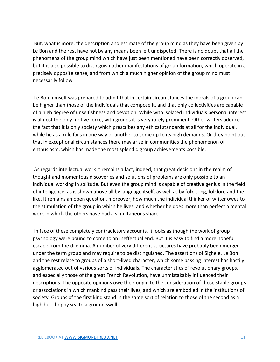But, what is more, the description and estimate of the group mind as they have been given by Le Bon and the rest have not by any means been left undisputed. There is no doubt that all the phenomena of the group mind which have just been mentioned have been correctly observed, but it is also possible to distinguish other manifestations of group formation, which operate in a precisely opposite sense, and from which a much higher opinion of the group mind must necessarily follow.

Le Bon himself was prepared to admit that in certain circumstances the morals of a group can be higher than those of the individuals that compose it, and that only collectivities are capable of a high degree of unselfishness and devotion. While with isolated individuals personal interest is almost the only motive force, with groups it is very rarely prominent. Other writers adduce the fact that it is only society which prescribes any ethical standards at all for the individual, while he as a rule fails in one way or another to come up to its high demands. Or they point out that in exceptional circumstances there may arise in communities the phenomenon of enthusiasm, which has made the most splendid group achievements possible.

As regards intellectual work it remains a fact, indeed, that great decisions in the realm of thought and momentous discoveries and solutions of problems are only possible to an individual working in solitude. But even the group mind is capable of creative genius in the field of intelligence, as is shown above all by language itself, as well as by folk-song, folklore and the like. It remains an open question, moreover, how much the individual thinker or writer owes to the stimulation of the group in which he lives, and whether he does more than perfect a mental work in which the others have had a simultaneous share.

In face of these completely contradictory accounts, it looks as though the work of group psychology were bound to come to an ineffectual end. But it is easy to find a more hopeful escape from the dilemma. A number of very different structures have probably been merged under the term group and may require to be distinguished. The assertions of Sighele, Le Bon and the rest relate to groups of a short-lived character, which some passing interest has hastily agglomerated out of various sorts of individuals. The characteristics of revolutionary groups, and especially those of the great French Revolution, have unmistakably influenced their descriptions. The opposite opinions owe their origin to the consideration of those stable groups or associations in which mankind pass their lives, and which are embodied in the institutions of society. Groups of the first kind stand in the same sort of relation to those of the second as a high but choppy sea to a ground swell.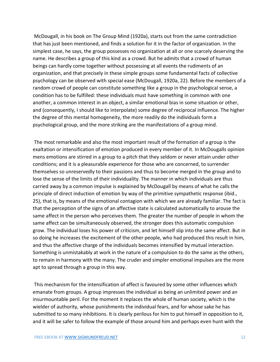McDougall, in his book on The Group Mind (1920a), starts out from the same contradiction that has just been mentioned, and finds a solution for it in the factor of organization. In the simplest case, he says, the group possesses no organization at all or one scarcely deserving the name. He describes a group of this kind as a crowd. But he admits that a crowd of human beings can hardly come together without possessing at all events the rudiments of an organization, and that precisely in these simple groups some fundamental facts of collective psychology can be observed with special ease (McDougall, 1920a, 22). Before the members of a random crowd of people can constitute something like a group in the psychological sense, a condition has to be fulfilled: these individuals must have something in common with one another, a common interest in an object, a similar emotional bias in some situation or other, and (consequently, I should like to interpolate) some degree of reciprocal influence. The higher the degree of this mental homogeneity, the more readily do the individuals form a psychological group, and the more striking are the manifestations of a group mind.

The most remarkable and also the most important result of the formation of a group is the exaltation or intensification of emotion produced in every member of it. In McDougalls opinion mens emotions are stirred in a group to a pitch that they seldom or never attain under other conditions; and it is a pleasurable experience for those who are concerned, to surrender themselves so unreservedly to their passions and thus to become merged in the group and to lose the sense of the limits of their individuality. The manner in which individuals are thus carried away by a common impulse is explained by McDougall by means of what he calls the principle of direct induction of emotion by way of the primitive sympathetic response (ibid., 25), that is, by means of the emotional contagion with which we are already familiar. The fact is that the perception of the signs of an affective state is calculated automatically to arouse the same affect in the person who perceives them. The greater the number of people in whom the same affect can be simultaneously observed, the stronger does this automatic compulsion grow. The individual loses his power of criticism, and let himself slip into the same affect. But in so doing he increases the excitement of the other people, who had produced this result in him, and thus the affective charge of the individuals becomes intensified by mutual interaction. Something is unmistakably at work in the nature of a compulsion to do the same as the others, to remain in harmony with the many. The cruder and simpler emotional impulses are the more apt to spread through a group in this way.

This mechanism for the intensification of affect is favoured by some other influences which emanate from groups. A group impresses the individual as being an unlimited power and an insurmountable peril. For the moment it replaces the whole of human society, which is the wielder of authority, whose punishments the individual fears, and for whose sake he has submitted to so many inhibitions. It is clearly perilous for him to put himself in opposition to it, and it will be safer to follow the example of those around him and perhaps even hunt with the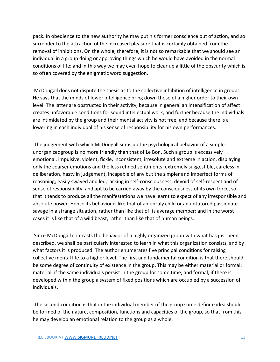pack. In obedience to the new authority he may put his former conscience out of action, and so surrender to the attraction of the increased pleasure that is certainly obtained from the removal of inhibitions. On the whole, therefore, it is not so remarkable that we should see an individual in a group doing or approving things which he would have avoided in the normal conditions of life; and in this way we may even hope to clear up a little of the obscurity which is so often covered by the enigmatic word suggestion.

McDougall does not dispute the thesis as to the collective inhibition of intelligence in groups. He says that the minds of lower intelligence bring down those of a higher order to their own level. The latter are obstructed in their activity, because in general an intensification of affect creates unfavorable conditions for sound intellectual work, and further because the individuals are intimidated by the group and their mental activity is not free, and because there is a lowering in each individual of his sense of responsibility for his own performances.

The judgement with which McDougall sums up the psychological behavior of a simple unorganizedgroup is no more friendly than that of Le Bon. Such a group is excessively emotional, impulsive, violent, fickle, inconsistent, irresolute and extreme in action, displaying only the coarser emotions and the less refined sentiments; extremely suggestible, careless in deliberation, hasty in judgement, incapable of any but the simpler and imperfect forms of reasoning; easily swayed and led, lacking in self-consciousness, devoid of self-respect and of sense of responsibility, and apt to be carried away by the consciousness of its own force, so that it tends to produce all the manifestations we have learnt to expect of any irresponsible and absolute power. Hence its behavior is like that of an unruly child or an untutored passionate savage in a strange situation, rather than like that of its average member; and in the worst cases it is like that of a wild beast, rather than like that of human beings.

Since McDougall contrasts the behavior of a highly organized group with what has just been described, we shall be particularly interested to learn in what this organization consists, and by what factors it is produced. The author enumerates five principal conditions for raising collective mental life to a higher level. The first and fundamental condition is that there should be some degree of continuity of existence in the group. This may be either material or formal: material, if the same individuals persist in the group for some time; and formal, if there is developed within the group a system of fixed positions which are occupied by a succession of individuals.

The second condition is that in the individual member of the group some definite idea should be formed of the nature, composition, functions and capacities of the group, so that from this he may develop an emotional relation to the group as a whole.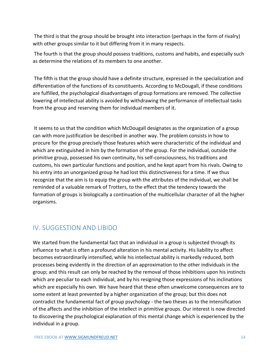The third is that the group should be brought into interaction (perhaps in the form of rivalry) with other groups similar to it but differing from it in many respects.

The fourth is that the group should possess traditions, customs and habits, and especially such as determine the relations of its members to one another.

The fifth is that the group should have a definite structure, expressed in the specialization and differentiation of the functions of its constituents. According to McDougall, if these conditions are fulfilled, the psychological disadvantages of group formations are removed. The collective lowering of intellectual ability is avoided by withdrawing the performance of intellectual tasks from the group and reserving them for individual members of it.

It seems to us that the condition which McDougall designates as the organization of a group can with more justification be described in another way. The problem consists in how to procure for the group precisely those features which were characteristic of the individual and which are extinguished in him by the formation of the group. For the individual, outside the primitive group, possessed his own continuity, his self-consciousness, his traditions and customs, his own particular functions and position, and he kept apart from his rivals. Owing to his entry into an unorganized group he had lost this distinctiveness for a time. If we thus recognize that the aim is to equip the group with the attributes of the individual, we shall be reminded of a valuable remark of Trotters, to the effect that the tendency towards the formation of groups is biologically a continuation of the multicellular character of all the higher organisms.

### <span id="page-14-0"></span>IV. SUGGESTION AND LIBIDO

We started from the fundamental fact that an individual in a group is subjected through its influence to what is often a profound alteration in his mental activity. His liability to affect becomes extraordinarily intensified, while his intellectual ability is markedly reduced, both processes being evidently in the direction of an approximation to the other individuals in the group; and this result can only be reached by the removal of those inhibitions upon his instincts which are peculiar to each individual, and by his resigning those expressions of his inclinations which are especially his own. We have heard that these often unwelcome consequences are to some extent at least prevented by a higher organization of the group; but this does not contradict the fundamental fact of group psychology - the two theses as to the intensification of the affects and the inhibition of the intellect in primitive groups. Our interest is now directed to discovering the psychological explanation of this mental change which is experienced by the individual in a group.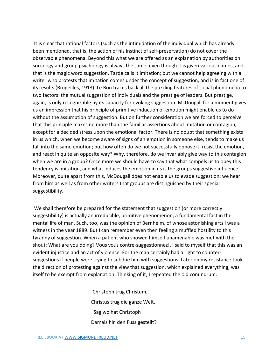It is clear that rational factors (such as the intimidation of the individual which has already been mentioned, that is, the action of his instinct of self-preservation) do not cover the observable phenomena. Beyond this what we are offered as an explanation by authorities on sociology and group psychology is always the same, even though it is given various names, and that is the magic word suggestion. Tarde calls it imitation; but we cannot help agreeing with a writer who protests that imitation comes under the concept of suggestion, and is in fact one of its results (Brugeilles, 1913). Le Bon traces back all the puzzling features of social phenomena to two factors: the mutual suggestion of individuals and the prestige of leaders. But prestige, again, is only recognizable by its capacity for evoking suggestion. McDougall for a moment gives us an impression that his principle of primitive induction of emotion might enable us to do without the assumption of suggestion. But on further consideration we are forced to perceive that this principle makes no more than the familiar assertions about imitation or contagion, except for a decided stress upon the emotional factor. There is no doubt that something exists in us which, when we become aware of signs of an emotion in someone else, tends to make us fall into the same emotion; but how often do we not successfully oppose it, resist the emotion, and react in quite an opposite way? Why, therefore, do we invariably give way to this contagion when we are in a group? Once more we should have to say that what compels us to obey this tendency is imitation, and what induces the emotion in us is the groups suggestive influence. Moreover, quite apart from this, McDougall does not enable us to evade suggestion; we hear from him as well as from other writers that groups are distinguished by their special suggestibility.

We shall therefore be prepared for the statement that suggestion (or more correctly suggestibility) is actually an irreducible, primitive phenomenon, a fundamental fact in the mental life of man. Such, too, was the opinion of Bernheim, of whose astonishing arts I was a witness in the year 1889. But I can remember even then feeling a muffled hostility to this tyranny of suggestion. When a patient who showed himself unamenable was met with the shout: What are you doing? Vous vous contre-suggestionnez!, I said to myself that this was an evident injustice and an act of violence. For the man certainly had a right to countersuggestions if people were trying to subdue him with suggestions. Later on my resistance took the direction of protesting against the view that suggestion, which explained everything, was itself to be exempt from explanation. Thinking of it, I repeated the old conundrum:

> Christoph trug Christum, Christus trug die ganze Welt, Sag wo hat Christoph Damals hin den Fuss gestellt?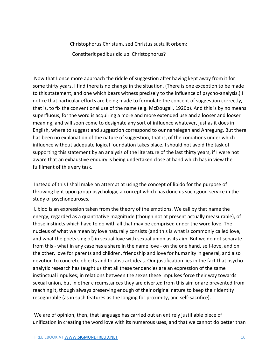Christophorus Christum, sed Christus sustulit orbem: Constiterit pedibus dic ubi Christophorus?

Now that I once more approach the riddle of suggestion after having kept away from it for some thirty years, I find there is no change in the situation. (There is one exception to be made to this statement, and one which bears witness precisely to the influence of psycho-analysis.) I notice that particular efforts are being made to formulate the concept of suggestion correctly, that is, to fix the conventional use of the name (e.g. McDougall, 1920b). And this is by no means superfluous, for the word is acquiring a more and more extended use and a looser and looser meaning, and will soon come to designate any sort of influence whatever, just as it does in English, where to suggest and suggestion correspond to our nahelegen and Anregung. But there has been no explanation of the nature of suggestion, that is, of the conditions under which influence without adequate logical foundation takes place. I should not avoid the task of supporting this statement by an analysis of the literature of the last thirty years, if I were not aware that an exhaustive enquiry is being undertaken close at hand which has in view the fulfilment of this very task.

Instead of this I shall make an attempt at using the concept of libido for the purpose of throwing light upon group psychology, a concept which has done us such good service in the study of psychoneuroses.

Libido is an expression taken from the theory of the emotions. We call by that name the energy, regarded as a quantitative magnitude (though not at present actually measurable), of those instincts which have to do with all that may be comprised under the word love. The nucleus of what we mean by love naturally consists (and this is what is commonly called love, and what the poets sing of) in sexual love with sexual union as its aim. But we do not separate from this - what in any case has a share in the name love - on the one hand, self-love, and on the other, love for parents and children, friendship and love for humanity in general, and also devotion to concrete objects and to abstract ideas. Our justification lies in the fact that psychoanalytic research has taught us that all these tendencies are an expression of the same instinctual impulses; in relations between the sexes these impulses force their way towards sexual union, but in other circumstances they are diverted from this aim or are prevented from reaching it, though always preserving enough of their original nature to keep their identity recognizable (as in such features as the longing for proximity, and self-sacrifice).

We are of opinion, then, that language has carried out an entirely justifiable piece of unification in creating the word love with its numerous uses, and that we cannot do better than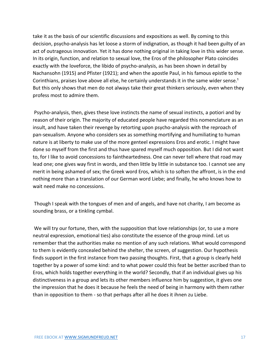take it as the basis of our scientific discussions and expositions as well. By coming to this decision, psycho-analysis has let loose a storm of indignation, as though it had been guilty of an act of outrageous innovation. Yet it has done nothing original in taking love in this wider sense. In its origin, function, and relation to sexual love, the Eros of the philosopher Plato coincides exactly with the loveforce, the libido of psycho-analysis, as has been shown in detail by Nachansohn (1915) and Pfister (1921); and when the apostle Paul, in his famous epistle to the Corinthians, praises love above all else, he certainly understands it in the same wider sense.<sup>1</sup> But this only shows that men do not always take their great thinkers seriously, even when they profess most to admire them.

Psycho-analysis, then, gives these love instincts the name of sexual instincts, a potiori and by reason of their origin. The majority of educated people have regarded this nomenclature as an insult, and have taken their revenge by retorting upon psycho-analysis with the reproach of pan-sexualism. Anyone who considers sex as something mortifying and humiliating to human nature is at liberty to make use of the more genteel expressions Eros and erotic. I might have done so myself from the first and thus have spared myself much opposition. But I did not want to, for I like to avoid concessions to faintheartedness. One can never tell where that road may lead one; one gives way first in words, and then little by little in substance too. I cannot see any merit in being ashamed of sex; the Greek word Eros, which is to soften the affront, is in the end nothing more than a translation of our German word Liebe; and finally, he who knows how to wait need make no concessions.

Though I speak with the tongues of men and of angels, and have not charity, I am become as sounding brass, or a tinkling cymbal.

We will try our fortune, then, with the supposition that love relationships (or, to use a more neutral expression, emotional ties) also constitute the essence of the group mind. Let us remember that the authorities make no mention of any such relations. What would correspond to them is evidently concealed behind the shelter, the screen, of suggestion. Our hypothesis finds support in the first instance from two passing thoughts. First, that a group is clearly held together by a power of some kind: and to what power could this feat be better ascribed than to Eros, which holds together everything in the world? Secondly, that if an individual gives up his distinctiveness in a group and lets its other members influence him by suggestion, it gives one the impression that he does it because he feels the need of being in harmony with them rather than in opposition to them - so that perhaps after all he does it ihnen zu Liebe.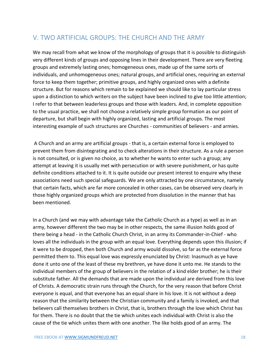# <span id="page-18-0"></span>V. TWO ARTIFICIAL GROUPS: THE CHURCH AND THE ARMY

We may recall from what we know of the morphology of groups that it is possible to distinguish very different kinds of groups and opposing lines in their development. There are very fleeting groups and extremely lasting ones; homogeneous ones, made up of the same sorts of individuals, and unhomogeneous ones; natural groups, and artificial ones, requiring an external force to keep them together; primitive groups, and highly organized ones with a definite structure. But for reasons which remain to be explained we should like to lay particular stress upon a distinction to which writers on the subject have been inclined to give too little attention; I refer to that between leaderless groups and those with leaders. And, in complete opposition to the usual practice, we shall not choose a relatively simple group formation as our point of departure, but shall begin with highly organized, lasting and artificial groups. The most interesting example of such structures are Churches - communities of believers - and armies.

A Church and an army are artificial groups - that is, a certain external force is employed to prevent them from disintegrating and to check alterations in their structure. As a rule a person is not consulted, or is given no choice, as to whether he wants to enter such a group; any attempt at leaving it is usually met with persecution or with severe punishment, or has quite definite conditions attached to it. It is quite outside our present interest to enquire why these associations need such special safeguards. We are only attracted by one circumstance, namely that certain facts, which are far more concealed in other cases, can be observed very clearly in those highly organized groups which are protected from dissolution in the manner that has been mentioned.

In a Church (and we may with advantage take the Catholic Church as a type) as well as in an army, however different the two may be in other respects, the same illusion holds good of there being a head - in the Catholic Church Christ, in an army its Commander-in-Chief - who loves all the individuals in the group with an equal love. Everything depends upon this illusion; if it were to be dropped, then both Church and army would dissolve, so far as the external force permitted them to. This equal love was expressly enunciated by Christ: Inasmuch as ye have done it unto one of the least of these my brethren, ye have done it unto me. He stands to the individual members of the group of believers in the relation of a kind elder brother; he is their substitute father. All the demands that are made upon the individual are derived from this love of Christs. A democratic strain runs through the Church, for the very reason that before Christ everyone is equal, and that everyone has an equal share in his love. It is not without a deep reason that the similarity between the Christian community and a family is invoked, and that believers call themselves brothers in Christ, that is, brothers through the love which Christ has for them. There is no doubt that the tie which unites each individual with Christ is also the cause of the tie which unites them with one another. The like holds good of an army. The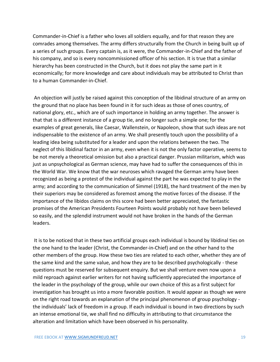Commander-in-Chief is a father who loves all soldiers equally, and for that reason they are comrades among themselves. The army differs structurally from the Church in being built up of a series of such groups. Every captain is, as it were, the Commander-in-Chief and the father of his company, and so is every noncommissioned officer of his section. It is true that a similar hierarchy has been constructed in the Church, but it does not play the same part in it economically; for more knowledge and care about individuals may be attributed to Christ than to a human Commander-in-Chief.

An objection will justly be raised against this conception of the libidinal structure of an army on the ground that no place has been found in it for such ideas as those of ones country, of national glory, etc., which are of such importance in holding an army together. The answer is that that is a different instance of a group tie, and no longer such a simple one; for the examples of great generals, like Caesar, Wallenstein, or Napoleon, show that such ideas are not indispensable to the existence of an army. We shall presently touch upon the possibility of a leading idea being substituted for a leader and upon the relations between the two. The neglect of this libidinal factor in an army, even when it is not the only factor operative, seems to be not merely a theoretical omission but also a practical danger. Prussian militarism, which was just as unpsychological as German science, may have had to suffer the consequences of this in the World War. We know that the war neuroses which ravaged the German army have been recognized as being a protest of the individual against the part he was expected to play in the army; and according to the communication of Simmel (1918), the hard treatment of the men by their superiors may be considered as foremost among the motive forces of the disease. If the importance of the libidos claims on this score had been better appreciated, the fantastic promises of the American Presidents Fourteen Points would probably not have been believed so easily, and the splendid instrument would not have broken in the hands of the German leaders.

It is to be noticed that in these two artificial groups each individual is bound by libidinal ties on the one hand to the leader (Christ, the Commander-in-Chief) and on the other hand to the other members of the group. How these two ties are related to each other, whether they are of the same kind and the same value, and how they are to be described psychologically - these questions must be reserved for subsequent enquiry. But we shall venture even now upon a mild reproach against earlier writers for not having sufficiently appreciated the importance of the leader in the psychology of the group, while our own choice of this as a first subject for investigation has brought us into a more favorable position. It would appear as though we were on the right road towards an explanation of the principal phenomenon of group psychology the individuals' lack of freedom in a group. If each individual is bound in two directions by such an intense emotional tie, we shall find no difficulty in attributing to that circumstance the alteration and limitation which have been observed in his personality.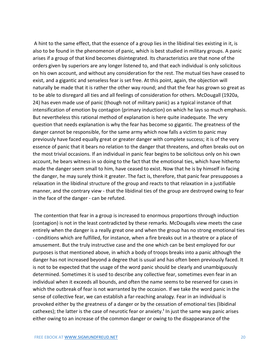A hint to the same effect, that the essence of a group lies in the libidinal ties existing in it, is also to be found in the phenomenon of panic, which is best studied in military groups. A panic arises if a group of that kind becomes disintegrated. Its characteristics are that none of the orders given by superiors are any longer listened to, and that each individual is only solicitous on his own account, and without any consideration for the rest. The mutual ties have ceased to exist, and a gigantic and senseless fear is set free. At this point, again, the objection will naturally be made that it is rather the other way round; and that the fear has grown so great as to be able to disregard all ties and all feelings of consideration for others. McDougall (1920a, 24) has even made use of panic (though not of military panic) as a typical instance of that intensification of emotion by contagion (primary induction) on which he lays so much emphasis. But nevertheless this rational method of explanation is here quite inadequate. The very question that needs explanation is why the fear has become so gigantic. The greatness of the danger cannot be responsible, for the same army which now falls a victim to panic may previously have faced equally great or greater danger with complete success; it is of the very essence of panic that it bears no relation to the danger that threatens, and often breaks out on the most trivial occasions. If an individual in panic fear begins to be solicitous only on his own account, he bears witness in so doing to the fact that the emotional ties, which have hitherto made the danger seem small to him, have ceased to exist. Now that he is by himself in facing the danger, he may surely think it greater. The fact is, therefore, that panic fear presupposes a relaxation in the libidinal structure of the group and reacts to that relaxation in a justifiable manner, and the contrary view - that the libidinal ties of the group are destroyed owing to fear in the face of the danger - can be refuted.

The contention that fear in a group is increased to enormous proportions through induction (contagion) is not in the least contradicted by these remarks. McDougalls view meets the case entirely when the danger is a really great one and when the group has no strong emotional ties - conditions which are fulfilled, for instance, when a fire breaks out in a theatre or a place of amusement. But the truly instructive case and the one which can be best employed for our purposes is that mentioned above, in which a body of troops breaks into a panic although the danger has not increased beyond a degree that is usual and has often been previously faced. It is not to be expected that the usage of the word panic should be clearly and unambiguously determined. Sometimes it is used to describe any collective fear, sometimes even fear in an individual when it exceeds all bounds, and often the name seems to be reserved for cases in which the outbreak of fear is not warranted by the occasion. If we take the word panic in the sense of collective fear, we can establish a far-reaching analogy. Fear in an individual is provoked either by the greatness of a danger or by the cessation of emotional ties (libidinal cathexes); the latter is the case of neurotic fear or anxiety.<sup>1</sup> In just the same way panic arises either owing to an increase of the common danger or owing to the disappearance of the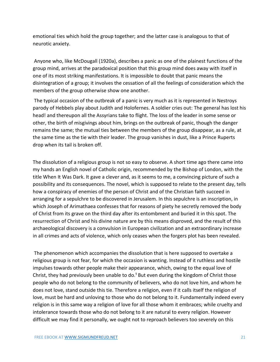emotional ties which hold the group together; and the latter case is analogous to that of neurotic anxiety.

Anyone who, like McDougall (1920a), describes a panic as one of the plainest functions of the group mind, arrives at the paradoxical position that this group mind does away with itself in one of its most striking manifestations. It is impossible to doubt that panic means the disintegration of a group; it involves the cessation of all the feelings of consideration which the members of the group otherwise show one another.

The typical occasion of the outbreak of a panic is very much as it is represented in Nestroys parody of Hebbels play about Judith and Holofernes. A soldier cries out: The general has lost his head! and thereupon all the Assyrians take to flight. The loss of the leader in some sense or other, the birth of misgivings about him, brings on the outbreak of panic, though the danger remains the same; the mutual ties between the members of the group disappear, as a rule, at the same time as the tie with their leader. The group vanishes in dust, like a Prince Ruperts drop when its tail is broken off.

The dissolution of a religious group is not so easy to observe. A short time ago there came into my hands an English novel of Catholic origin, recommended by the Bishop of London, with the title When It Was Dark. It gave a clever and, as it seems to me, a convincing picture of such a possibility and its consequences. The novel, which is supposed to relate to the present day, tells how a conspiracy of enemies of the person of Christ and of the Christian faith succeed in arranging for a sepulchre to be discovered in Jerusalem. In this sepulchre is an inscription, in which Joseph of Arimathaea confesses that for reasons of piety he secretly removed the body of Christ from its grave on the third day after its entombment and buried it in this spot. The resurrection of Christ and his divine nature are by this means disproved, and the result of this archaeological discovery is a convulsion in European civilization and an extraordinary increase in all crimes and acts of violence, which only ceases when the forgers plot has been revealed.

The phenomenon which accompanies the dissolution that is here supposed to overtake a religious group is not fear, for which the occasion is wanting. Instead of it ruthless and hostile impulses towards other people make their appearance, which, owing to the equal love of Christ, they had previously been unable to do.<sup>1</sup> But even during the kingdom of Christ those people who do not belong to the community of believers, who do not love him, and whom he does not love, stand outside this tie. Therefore a religion, even if it calls itself the religion of love, must be hard and unloving to those who do not belong to it. Fundamentally indeed every religion is in this same way a religion of love for all those whom it embraces; while cruelty and intolerance towards those who do not belong to it are natural to every religion. However difficult we may find it personally, we ought not to reproach believers too severely on this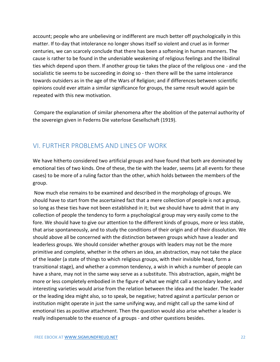account; people who are unbelieving or indifferent are much better off psychologically in this matter. If to-day that intolerance no longer shows itself so violent and cruel as in former centuries, we can scarcely conclude that there has been a softening in human manners. The cause is rather to be found in the undeniable weakening of religious feelings and the libidinal ties which depend upon them. If another group tie takes the place of the religious one - and the socialistic tie seems to be succeeding in doing so - then there will be the same intolerance towards outsiders as in the age of the Wars of Religion; and if differences between scientific opinions could ever attain a similar significance for groups, the same result would again be repeated with this new motivation.

Compare the explanation of similar phenomena after the abolition of the paternal authority of the sovereign given in Federns Die vaterlose Gesellschaft (1919).

### <span id="page-22-0"></span>VI. FURTHER PROBLEMS AND LINES OF WORK

We have hitherto considered two artificial groups and have found that both are dominated by emotional ties of two kinds. One of these, the tie with the leader, seems (at all events for these cases) to be more of a ruling factor than the other, which holds between the members of the group.

Now much else remains to be examined and described in the morphology of groups. We should have to start from the ascertained fact that a mere collection of people is not a group, so long as these ties have not been established in it; but we should have to admit that in any collection of people the tendency to form a psychological group may very easily come to the fore. We should have to give our attention to the different kinds of groups, more or less stable, that arise spontaneously, and to study the conditions of their origin and of their dissolution. We should above all be concerned with the distinction between groups which have a leader and leaderless groups. We should consider whether groups with leaders may not be the more primitive and complete, whether in the others an idea, an abstraction, may not take the place of the leader (a state of things to which religious groups, with their invisible head, form a transitional stage), and whether a common tendency, a wish in which a number of people can have a share, may not in the same way serve as a substitute. This abstraction, again, might be more or less completely embodied in the figure of what we might call a secondary leader, and interesting varieties would arise from the relation between the idea and the leader. The leader or the leading idea might also, so to speak, be negative; hatred against a particular person or institution might operate in just the same unifying way, and might call up the same kind of emotional ties as positive attachment. Then the question would also arise whether a leader is really indispensable to the essence of a groups - and other questions besides.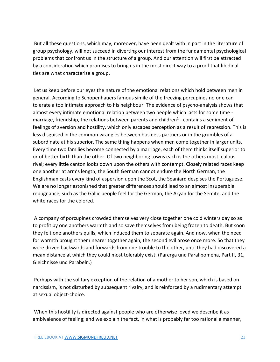But all these questions, which may, moreover, have been dealt with in part in the literature of group psychology, will not succeed in diverting our interest from the fundamental psychological problems that confront us in the structure of a group. And our attention will first be attracted by a consideration which promises to bring us in the most direct way to a proof that libidinal ties are what characterize a group.

Let us keep before our eyes the nature of the emotional relations which hold between men in general. According to Schopenhauers famous simile of the freezing porcupines no one can tolerate a too intimate approach to his neighbour. The evidence of psycho-analysis shows that almost every intimate emotional relation between two people which lasts for some time marriage, friendship, the relations between parents and children<sup>2</sup> - contains a sediment of feelings of aversion and hostility, which only escapes perception as a result of repression. This is less disguised in the common wrangles between business partners or in the grumbles of a subordinate at his superior. The same thing happens when men come together in larger units. Every time two families become connected by a marriage, each of them thinks itself superior to or of better birth than the other. Of two neighboring towns each is the others most jealous rival; every little canton looks down upon the others with contempt. Closely related races keep one another at arm's length; the South German cannot endure the North German, the Englishman casts every kind of aspersion upon the Scot, the Spaniard despises the Portuguese. We are no longer astonished that greater differences should lead to an almost insuperable repugnance, such as the Gallic people feel for the German, the Aryan for the Semite, and the white races for the colored.

A company of porcupines crowded themselves very close together one cold winters day so as to profit by one anothers warmth and so save themselves from being frozen to death. But soon they felt one anothers quills, which induced them to separate again. And now, when the need for warmth brought them nearer together again, the second evil arose once more. So that they were driven backwards and forwards from one trouble to the other, until they had discovered a mean distance at which they could most tolerably exist. (Parerga und Paralipomena, Part II, 31, Gleichnisse und Parabeln.)

Perhaps with the solitary exception of the relation of a mother to her son, which is based on narcissism, is not disturbed by subsequent rivalry, and is reinforced by a rudimentary attempt at sexual object-choice.

When this hostility is directed against people who are otherwise loved we describe it as ambivalence of feeling; and we explain the fact, in what is probably far too rational a manner,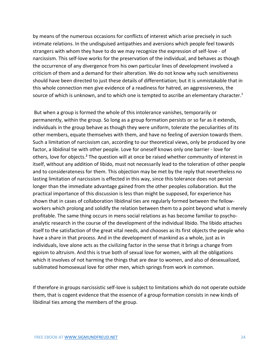by means of the numerous occasions for conflicts of interest which arise precisely in such intimate relations. In the undisguised antipathies and aversions which people feel towards strangers with whom they have to do we may recognize the expression of self-love - of narcissism. This self-love works for the preservation of the individual, and behaves as though the occurrence of any divergence from his own particular lines of development involved a criticism of them and a demand for their alteration. We do not know why such sensitiveness should have been directed to just these details of differentiation; but it is unmistakable that in this whole connection men give evidence of a readiness for hatred, an aggressiveness, the source of which is unknown, and to which one is tempted to ascribe an elementary character.<sup>1</sup>

But when a group is formed the whole of this intolerance vanishes, temporarily or permanently, within the group. So long as a group formation persists or so far as it extends, individuals in the group behave as though they were uniform, tolerate the peculiarities of its other members, equate themselves with them, and have no feeling of aversion towards them. Such a limitation of narcissism can, according to our theoretical views, only be produced by one factor, a libidinal tie with other people. Love for oneself knows only one barrier - love for others, love for objects.<sup>2</sup> The question will at once be raised whether community of interest in itself, without any addition of libido, must not necessarily lead to the toleration of other people and to considerateness for them. This objection may be met by the reply that nevertheless no lasting limitation of narcissism is effected in this way, since this tolerance does not persist longer than the immediate advantage gained from the other peoples collaboration. But the practical importance of this discussion is less than might be supposed, for experience has shown that in cases of collaboration libidinal ties are regularly formed between the fellowworkers which prolong and solidify the relation between them to a point beyond what is merely profitable. The same thing occurs in mens social relations as has become familiar to psychoanalytic research in the course of the development of the individual libido. The libido attaches itself to the satisfaction of the great vital needs, and chooses as its first objects the people who have a share in that process. And in the development of mankind as a whole, just as in individuals, love alone acts as the civilizing factor in the sense that it brings a change from egoism to altruism. And this is true both of sexual love for women, with all the obligations which it involves of not harming the things that are dear to women, and also of desexualized, sublimated homosexual love for other men, which springs from work in common.

If therefore in groups narcissistic self-love is subject to limitations which do not operate outside them, that is cogent evidence that the essence of a group formation consists in new kinds of libidinal ties among the members of the group.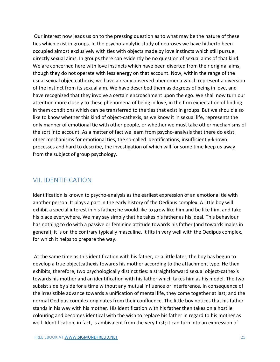Our interest now leads us on to the pressing question as to what may be the nature of these ties which exist in groups. In the psycho-analytic study of neuroses we have hitherto been occupied almost exclusively with ties with objects made by love instincts which still pursue directly sexual aims. In groups there can evidently be no question of sexual aims of that kind. We are concerned here with love instincts which have been diverted from their original aims, though they do not operate with less energy on that account. Now, within the range of the usual sexual objectcathexis, we have already observed phenomena which represent a diversion of the instinct from its sexual aim. We have described them as degrees of being in love, and have recognized that they involve a certain encroachment upon the ego. We shall now turn our attention more closely to these phenomena of being in love, in the firm expectation of finding in them conditions which can be transferred to the ties that exist in groups. But we should also like to know whether this kind of object-cathexis, as we know it in sexual life, represents the only manner of emotional tie with other people, or whether we must take other mechanisms of the sort into account. As a matter of fact we learn from psycho-analysis that there do exist other mechanisms for emotional ties, the so-called identifications, insufficiently-known processes and hard to describe, the investigation of which will for some time keep us away from the subject of group psychology.

#### <span id="page-25-0"></span>VII. IDENTIFICATION

Identification is known to psycho-analysis as the earliest expression of an emotional tie with another person. It plays a part in the early history of the Oedipus complex. A little boy will exhibit a special interest in his father; he would like to grow like him and be like him, and take his place everywhere. We may say simply that he takes his father as his ideal. This behaviour has nothing to do with a passive or feminine attitude towards his father (and towards males in general); it is on the contrary typically masculine. It fits in very well with the Oedipus complex, for which it helps to prepare the way.

At the same time as this identification with his father, or a little later, the boy has begun to develop a true objectcathexis towards his mother according to the attachment type. He then exhibits, therefore, two psychologically distinct ties: a straightforward sexual object-cathexis towards his mother and an identification with his father which takes him as his model. The two subsist side by side for a time without any mutual influence or interference. In consequence of the irresistible advance towards a unification of mental life, they come together at last; and the normal Oedipus complex originates from their confluence. The little boy notices that his father stands in his way with his mother. His identification with his father then takes on a hostile colouring and becomes identical with the wish to replace his father in regard to his mother as well. Identification, in fact, is ambivalent from the very first; it can turn into an expression of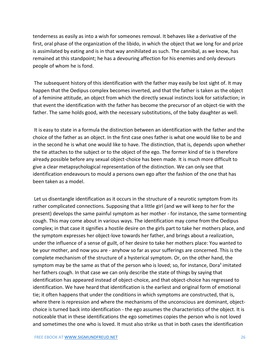tenderness as easily as into a wish for someones removal. It behaves like a derivative of the first, oral phase of the organization of the libido, in which the object that we long for and prize is assimilated by eating and is in that way annihilated as such. The cannibal, as we know, has remained at this standpoint; he has a devouring affection for his enemies and only devours people of whom he is fond.

The subsequent history of this identification with the father may easily be lost sight of. It may happen that the Oedipus complex becomes inverted, and that the father is taken as the object of a feminine attitude, an object from which the directly sexual instincts look for satisfaction; in that event the identification with the father has become the precursor of an object-tie with the father. The same holds good, with the necessary substitutions, of the baby daughter as well.

It is easy to state in a formula the distinction between an identification with the father and the choice of the father as an object. In the first case ones father is what one would like to be and in the second he is what one would like to have. The distinction, that is, depends upon whether the tie attaches to the subject or to the object of the ego. The former kind of tie is therefore already possible before any sexual object-choice has been made. It is much more difficult to give a clear metapsychological representation of the distinction. We can only see that identification endeavours to mould a persons own ego after the fashion of the one that has been taken as a model.

Let us disentangle identification as it occurs in the structure of a neurotic symptom from its rather complicated connections. Supposing that a little girl (and we will keep to her for the present) develops the same painful symptom as her mother - for instance, the same tormenting cough. This may come about in various ways. The identification may come from the Oedipus complex; in that case it signifies a hostile desire on the girls part to take her mothers place, and the symptom expresses her object-love towards her father, and brings about a realization, under the influence of a sense of guilt, of her desire to take her mothers place: You wanted to be your mother, and now you are - anyhow so far as your sufferings are concerned. This is the complete mechanism of the structure of a hysterical symptom. Or, on the other hand, the symptom may be the same as that of the person who is loved; so, for instance, Dora<sup>1</sup> imitated her fathers cough. In that case we can only describe the state of things by saying that identification has appeared instead of object-choice, and that object-choice has regressed to identification. We have heard that identification is the earliest and original form of emotional tie; it often happens that under the conditions in which symptoms are constructed, that is, where there is repression and where the mechanisms of the unconscious are dominant, objectchoice is turned back into identification - the ego assumes the characteristics of the object. It is noticeable that in these identifications the ego sometimes copies the person who is not loved and sometimes the one who is loved. It must also strike us that in both cases the identification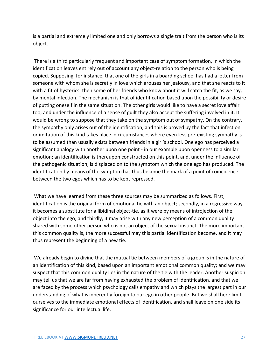is a partial and extremely limited one and only borrows a single trait from the person who is its object.

There is a third particularly frequent and important case of symptom formation, in which the identification leaves entirely out of account any object-relation to the person who is being copied. Supposing, for instance, that one of the girls in a boarding school has had a letter from someone with whom she is secretly in love which arouses her jealousy, and that she reacts to it with a fit of hysterics; then some of her friends who know about it will catch the fit, as we say, by mental infection. The mechanism is that of identification based upon the possibility or desire of putting oneself in the same situation. The other girls would like to have a secret love affair too, and under the influence of a sense of guilt they also accept the suffering involved in it. It would be wrong to suppose that they take on the symptom out of sympathy. On the contrary, the sympathy only arises out of the identification, and this is proved by the fact that infection or imitation of this kind takes place in circumstances where even less pre-existing sympathy is to be assumed than usually exists between friends in a girl's school. One ego has perceived a significant analogy with another upon one point - in our example upon openness to a similar emotion; an identification is thereupon constructed on this point, and, under the influence of the pathogenic situation, is displaced on to the symptom which the one ego has produced. The identification by means of the symptom has thus become the mark of a point of coincidence between the two egos which has to be kept repressed.

What we have learned from these three sources may be summarized as follows. First, identification is the original form of emotional tie with an object; secondly, in a regressive way it becomes a substitute for a libidinal object-tie, as it were by means of introjection of the object into the ego; and thirdly, it may arise with any new perception of a common quality shared with some other person who is not an object of the sexual instinct. The more important this common quality is, the more successful may this partial identification become, and it may thus represent the beginning of a new tie.

We already begin to divine that the mutual tie between members of a group is in the nature of an identification of this kind, based upon an important emotional common quality; and we may suspect that this common quality lies in the nature of the tie with the leader. Another suspicion may tell us that we are far from having exhausted the problem of identification, and that we are faced by the process which psychology calls empathy and which plays the largest part in our understanding of what is inherently foreign to our ego in other people. But we shall here limit ourselves to the immediate emotional effects of identification, and shall leave on one side its significance for our intellectual life.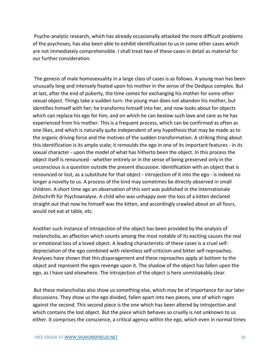Psycho-analytic research, which has already occasionally attacked the more difficult problems of the psychoses, has also been able to exhibit identification to us in some other cases which are not immediately comprehensible. I shall treat two of these cases in detail as material for our further consideration.

The genesis of male homosexuality in a large class of cases is as follows. A young man has been unusually long and intensely fixated upon his mother in the sense of the Oedipus complex. But at last, after the end of puberty, the time comes for exchanging his mother for some other sexual object. Things take a sudden turn: the young man does not abandon his mother, but identifies himself with her; he transforms himself into her, and now looks about for objects which can replace his ego for him, and on which he can bestow such love and care as he has experienced from his mother. This is a frequent process, which can be confirmed as often as one likes, and which is naturally quite independent of any hypothesis that may be made as to the organic driving force and the motives of the sudden transformation. A striking thing about this identification is its ample scale; it remoulds the ego in one of its important features - in its sexual character - upon the model of what has hitherto been the object. In this process the object itself is renounced - whether entirely or in the sense of being preserved only in the unconscious is a question outside the present discussion. Identification with an object that is renounced or lost, as a substitute for that object - introjection of it into the ego - is indeed no longer a novelty to us. A process of the kind may sometimes be directly observed in small children. A short time ago an observation of this sort was published in the Internationale Zeitschrift für Psychoanalyse. A child who was unhappy over the loss of a kitten declared straight out that now he himself was the kitten, and accordingly crawled about on all fours, would not eat at table, etc.

Another such instance of introjection of the object has been provided by the analysis of melancholia, an affection which counts among the most notable of its exciting causes the real or emotional loss of a loved object. A leading characteristic of these cases is a cruel selfdepreciation of the ego combined with relentless self-criticism and bitter self-reproaches. Analyses have shown that this disparagement and these reproaches apply at bottom to the object and represent the egos revenge upon it. The shadow of the object has fallen upon the ego, as I have said elsewhere. The introjection of the object is here unmistakably clear.

But these melancholias also show us something else, which may be of importance for our later discussions. They show us the ego divided, fallen apart into two pieces, one of which rages against the second. This second piece is the one which has been altered by introjection and which contains the lost object. But the piece which behaves so cruelly is not unknown to us either. It comprises the conscience, a critical agency within the ego, which even in normal times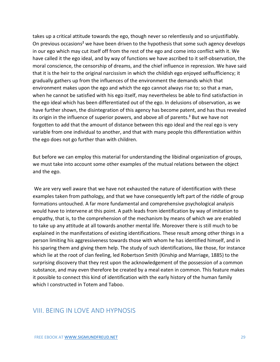takes up a critical attitude towards the ego, though never so relentlessly and so unjustifiably. On previous occasions<sup>2</sup> we have been driven to the hypothesis that some such agency develops in our ego which may cut itself off from the rest of the ego and come into conflict with it. We have called it the ego ideal, and by way of functions we have ascribed to it self-observation, the moral conscience, the censorship of dreams, and the chief influence in repression. We have said that it is the heir to the original narcissism in which the childish ego enjoyed selfsufficiency; it gradually gathers up from the influences of the environment the demands which that environment makes upon the ego and which the ego cannot always rise to; so that a man, when he cannot be satisfied with his ego itself, may nevertheless be able to find satisfaction in the ego ideal which has been differentiated out of the ego. In delusions of observation, as we have further shown, the disintegration of this agency has become patent, and has thus revealed its origin in the influence of superior powers, and above all of parents.<sup>3</sup> But we have not forgotten to add that the amount of distance between this ego ideal and the real ego is very variable from one individual to another, and that with many people this differentiation within the ego does not go further than with children.

But before we can employ this material for understanding the libidinal organization of groups, we must take into account some other examples of the mutual relations between the object and the ego.

We are very well aware that we have not exhausted the nature of identification with these examples taken from pathology, and that we have consequently left part of the riddle of group formations untouched. A far more fundamental and comprehensive psychological analysis would have to intervene at this point. A path leads from identification by way of imitation to empathy, that is, to the comprehension of the mechanism by means of which we are enabled to take up any attitude at all towards another mental life. Moreover there is still much to be explained in the manifestations of existing identifications. These result among other things in a person limiting his aggressiveness towards those with whom he has identified himself, and in his sparing them and giving them help. The study of such identifications, like those, for instance which lie at the root of clan feeling, led Robertson Smith (Kinship and Marriage, 1885) to the surprising discovery that they rest upon the acknowledgement of the possession of a common substance, and may even therefore be created by a meal eaten in common. This feature makes it possible to connect this kind of identification with the early history of the human family which I constructed in Totem and Taboo.

#### <span id="page-29-0"></span>VIII. BEING IN LOVE AND HYPNOSIS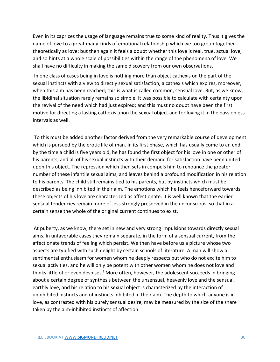Even in its caprices the usage of language remains true to some kind of reality. Thus it gives the name of love to a great many kinds of emotional relationship which we too group together theoretically as love; but then again it feels a doubt whether this love is real, true, actual love, and so hints at a whole scale of possibilities within the range of the phenomena of love. We shall have no difficulty in making the same discovery from our own observations.

In one class of cases being in love is nothing more than object cathexis on the part of the sexual instincts with a view to directly sexual satisfaction, a cathexis which expires, moreover, when this aim has been reached; this is what is called common, sensual love. But, as we know, the libidinal situation rarely remains so simple. It was possible to calculate with certainty upon the revival of the need which had just expired; and this must no doubt have been the first motive for directing a lasting cathexis upon the sexual object and for loving it in the passionless intervals as well.

To this must be added another factor derived from the very remarkable course of development which is pursued by the erotic life of man. In its first phase, which has usually come to an end by the time a child is five years old, he has found the first object for his love in one or other of his parents, and all of his sexual instincts with their demand for satisfaction have been united upon this object. The repression which then sets in compels him to renounce the greater number of these infantile sexual aims, and leaves behind a profound modification in his relation to his parents. The child still remains tied to his parents, but by instincts which must be described as being inhibited in their aim. The emotions which he feels henceforward towards these objects of his love are characterized as affectionate. It is well known that the earlier sensual tendencies remain more of less strongly preserved in the unconscious, so that in a certain sense the whole of the original current continues to exist.

At puberty, as we know, there set in new and very strong impulsions towards directly sexual aims. In unfavorable cases they remain separate, in the form of a sensual current, from the affectionate trends of feeling which persist. We then have before us a picture whose two aspects are typified with such delight by certain schools of literature. A man will show a sentimental enthusiasm for women whom he deeply respects but who do not excite him to sexual activities, and he will only be potent with other women whom he does not love and thinks little of or even despises.<sup>1</sup> More often, however, the adolescent succeeds in bringing about a certain degree of synthesis between the unsensual, heavenly love and the sensual, earthly love, and his relation to his sexual object is characterized by the interaction of uninhibited instincts and of instincts inhibited in their aim. The depth to which anyone is in love, as contrasted with his purely sensual desire, may be measured by the size of the share taken by the aim-inhibited instincts of affection.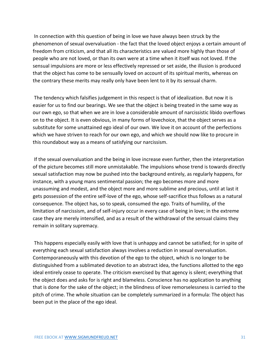In connection with this question of being in love we have always been struck by the phenomenon of sexual overvaluation - the fact that the loved object enjoys a certain amount of freedom from criticism, and that all its characteristics are valued more highly than those of people who are not loved, or than its own were at a time when it itself was not loved. If the sensual impulsions are more or less effectively repressed or set aside, the illusion is produced that the object has come to be sensually loved on account of its spiritual merits, whereas on the contrary these merits may really only have been lent to it by its sensual charm.

The tendency which falsifies judgement in this respect is that of idealization. But now it is easier for us to find our bearings. We see that the object is being treated in the same way as our own ego, so that when we are in love a considerable amount of narcissistic libido overflows on to the object. It is even obvious, in many forms of lovechoice, that the object serves as a substitute for some unattained ego ideal of our own. We love it on account of the perfections which we have striven to reach for our own ego, and which we should now like to procure in this roundabout way as a means of satisfying our narcissism.

If the sexual overvaluation and the being in love increase even further, then the interpretation of the picture becomes still more unmistakable. The impulsions whose trend is towards directly sexual satisfaction may now be pushed into the background entirely, as regularly happens, for instance, with a young mans sentimental passion; the ego becomes more and more unassuming and modest, and the object more and more sublime and precious, until at last it gets possession of the entire self-love of the ego, whose self-sacrifice thus follows as a natural consequence. The object has, so to speak, consumed the ego. Traits of humility, of the limitation of narcissism, and of self-injury occur in every case of being in love; in the extreme case they are merely intensified, and as a result of the withdrawal of the sensual claims they remain in solitary supremacy.

This happens especially easily with love that is unhappy and cannot be satisfied; for in spite of everything each sexual satisfaction always involves a reduction in sexual overvaluation. Contemporaneously with this devotion of the ego to the object, which is no longer to be distinguished from a sublimated devotion to an abstract idea, the functions allotted to the ego ideal entirely cease to operate. The criticism exercised by that agency is silent; everything that the object does and asks for is right and blameless. Conscience has no application to anything that is done for the sake of the object; in the blindness of love remorselessness is carried to the pitch of crime. The whole situation can be completely summarized in a formula: The object has been put in the place of the ego ideal.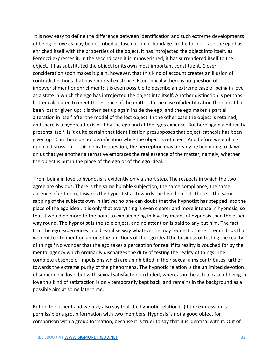It is now easy to define the difference between identification and such extreme developments of being in love as may be described as fascination or bondage. In the former case the ego has enriched itself with the properties of the object, it has introjected the object into itself, as Ferenczi expresses it. In the second case it is impoverished, it has surrendered itself to the object, it has substituted the object for its own most important constituent. Closer consideration soon makes it plain, however, that this kind of account creates an illusion of contradistinctions that have no real existence. Economically there is no question of impoverishment or enrichment; it is even possible to describe an extreme case of being in love as a state in which the ego has introjected the object into itself. Another distinction is perhaps better calculated to meet the essence of the matter. In the case of identification the object has been lost or given up; it is then set up again inside the ego, and the ego makes a partial alteration in itself after the model of the lost object. In the other case the object is retained, and there is a hypercathexis of it by the ego and at the egos expense. But here again a difficulty presents itself. Is it quite certain that identification presupposes that object-cathexis has been given up? Can there be no identification while the object is retained? And before we embark upon a discussion of this delicate question, the perception may already be beginning to dawn on us that yet another alternative embraces the real essence of the matter, namely, whether the object is put in the place of the ego or of the ego ideal.

From being in love to hypnosis is evidently only a short step. The respects in which the two agree are obvious. There is the same humble subjection, the same compliance, the same absence of criticism, towards the hypnotist as towards the loved object. There is the same sapping of the subjects own initiative; no one can doubt that the hypnotist has stepped into the place of the ego ideal. It is only that everything is even clearer and more intense in hypnosis, so that it would be more to the point to explain being in love by means of hypnosis than the other way round. The hypnotist is the sole object, and no attention is paid to any but him. The fact that the ego experiences in a dreamlike way whatever he may request or assert reminds us that we omitted to mention among the functions of the ego ideal the business of testing the reality of things.<sup>1</sup> No wonder that the ego takes a perception for real if its reality is vouched for by the mental agency which ordinarily discharges the duty of testing the reality of things. The complete absence of impulsions which are uninhibited in their sexual aims contributes further towards the extreme purity of the phenomena. The hypnotic relation is the unlimited devotion of someone in love, but with sexual satisfaction excluded; whereas in the actual case of being in love this kind of satisfaction is only temporarily kept back, and remains in the background as a possible aim at some later time.

But on the other hand we may also say that the hypnotic relation is (if the expression is permissible) a group formation with two members. Hypnosis is not a good object for comparison with a group formation, because it is truer to say that it is identical with it. Out of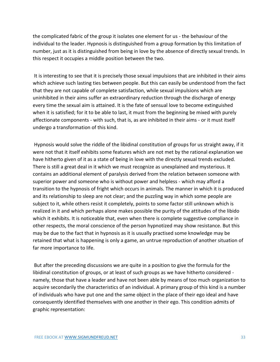the complicated fabric of the group it isolates one element for us - the behaviour of the individual to the leader. Hypnosis is distinguished from a group formation by this limitation of number, just as it is distinguished from being in love by the absence of directly sexual trends. In this respect it occupies a middle position between the two.

It is interesting to see that it is precisely those sexual impulsions that are inhibited in their aims which achieve such lasting ties between people. But this can easily be understood from the fact that they are not capable of complete satisfaction, while sexual impulsions which are uninhibited in their aims suffer an extraordinary reduction through the discharge of energy every time the sexual aim is attained. It is the fate of sensual love to become extinguished when it is satisfied; for it to be able to last, it must from the beginning be mixed with purely affectionate components - with such, that is, as are inhibited in their aims - or it must itself undergo a transformation of this kind.

Hypnosis would solve the riddle of the libidinal constitution of groups for us straight away, if it were not that it itself exhibits some features which are not met by the rational explanation we have hitherto given of it as a state of being in love with the directly sexual trends excluded. There is still a great deal in it which we must recognize as unexplained and mysterious. It contains an additional element of paralysis derived from the relation between someone with superior power and someone who is without power and helpless - which may afford a transition to the hypnosis of fright which occurs in animals. The manner in which it is produced and its relationship to sleep are not clear; and the puzzling way in which some people are subject to it, while others resist it completely, points to some factor still unknown which is realized in it and which perhaps alone makes possible the purity of the attitudes of the libido which it exhibits. It is noticeable that, even when there is complete suggestive compliance in other respects, the moral conscience of the person hypnotized may show resistance. But this may be due to the fact that in hypnosis as it is usually practised some knowledge may be retained that what is happening is only a game, an untrue reproduction of another situation of far more importance to life.

But after the preceding discussions we are quite in a position to give the formula for the libidinal constitution of groups, or at least of such groups as we have hitherto considered namely, those that have a leader and have not been able by means of too much organization to acquire secondarily the characteristics of an individual. A primary group of this kind is a number of individuals who have put one and the same object in the place of their ego ideal and have consequently identified themselves with one another in their ego. This condition admits of graphic representation: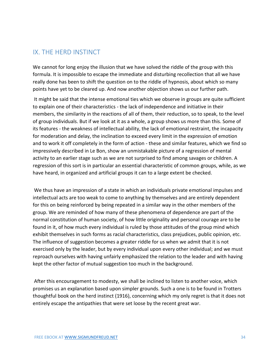### <span id="page-34-0"></span>IX. THE HERD INSTINCT

We cannot for long enjoy the illusion that we have solved the riddle of the group with this formula. It is impossible to escape the immediate and disturbing recollection that all we have really done has been to shift the question on to the riddle of hypnosis, about which so many points have yet to be cleared up. And now another objection shows us our further path.

It might be said that the intense emotional ties which we observe in groups are quite sufficient to explain one of their characteristics - the lack of independence and initiative in their members, the similarity in the reactions of all of them, their reduction, so to speak, to the level of group individuals. But if we look at it as a whole, a group shows us more than this. Some of its features - the weakness of intellectual ability, the lack of emotional restraint, the incapacity for moderation and delay, the inclination to exceed every limit in the expression of emotion and to work it off completely in the form of action - these and similar features, which we find so impressively described in Le Bon, show an unmistakable picture of a regression of mental activity to an earlier stage such as we are not surprised to find among savages or children. A regression of this sort is in particular an essential characteristic of common groups, while, as we have heard, in organized and artificial groups it can to a large extent be checked.

We thus have an impression of a state in which an individuals private emotional impulses and intellectual acts are too weak to come to anything by themselves and are entirely dependent for this on being reinforced by being repeated in a similar way in the other members of the group. We are reminded of how many of these phenomena of dependence are part of the normal constitution of human society, of how little originality and personal courage are to be found in it, of how much every individual is ruled by those attitudes of the group mind which exhibit themselves in such forms as racial characteristics, class prejudices, public opinion, etc. The influence of suggestion becomes a greater riddle for us when we admit that it is not exercised only by the leader, but by every individual upon every other individual; and we must reproach ourselves with having unfairly emphasized the relation to the leader and with having kept the other factor of mutual suggestion too much in the background.

After this encouragement to modesty, we shall be inclined to listen to another voice, which promises us an explanation based upon simpler grounds. Such a one is to be found in Trotters thoughtful book on the herd instinct (1916), concerning which my only regret is that it does not entirely escape the antipathies that were set loose by the recent great war.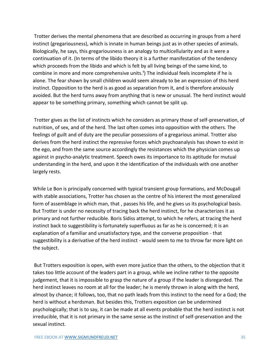Trotter derives the mental phenomena that are described as occurring in groups from a herd instinct (gregariousness), which is innate in human beings just as in other species of animals. Biologically, he says, this gregariousness is an analogy to multicellularity and as it were a continuation of it. (In terms of the libido theory it is a further manifestation of the tendency which proceeds from the libido and which is felt by all living beings of the same kind, to combine in more and more comprehensive units.<sup>1</sup>) The individual feels incomplete if he is alone. The fear shown by small children would seem already to be an expression of this herd instinct. Opposition to the herd is as good as separation from it, and is therefore anxiously avoided. But the herd turns away from anything that is new or unusual. The herd instinct would appear to be something primary, something which cannot be split up.

Trotter gives as the list of instincts which he considers as primary those of self-preservation, of nutrition, of sex, and of the herd. The last often comes into opposition with the others. The feelings of guilt and of duty are the peculiar possessions of a gregarious animal. Trotter also derives from the herd instinct the repressive forces which psychoanalysis has shown to exist in the ego, and from the same source accordingly the resistances which the physician comes up against in psycho-analytic treatment. Speech owes its importance to its aptitude for mutual understanding in the herd, and upon it the identification of the individuals with one another largely rests.

While Le Bon is principally concerned with typical transient group formations, and McDougall with stable associations, Trotter has chosen as the centre of his interest the most generalized form of assemblage in which man, that , passes his life, and he gives us its psychological basis. But Trotter is under no necessity of tracing back the herd instinct, for he characterizes it as primary and not further reducible. Boris Sidiss attempt, to which he refers, at tracing the herd instinct back to suggestibility is fortunately superfluous as far as he is concerned; it is an explanation of a familiar and unsatisfactory type, and the converse proposition - that suggestibility is a derivative of the herd instinct - would seem to me to throw far more light on the subject.

But Trotters exposition is open, with even more justice than the others, to the objection that it takes too little account of the leaders part in a group, while we incline rather to the opposite judgement, that it is impossible to grasp the nature of a group if the leader is disregarded. The herd instinct leaves no room at all for the leader; he is merely thrown in along with the herd, almost by chance; it follows, too, that no path leads from this instinct to the need for a God; the herd is without a herdsman. But besides this, Trotters exposition can be undermined psychologically; that is to say, it can be made at all events probable that the herd instinct is not irreducible, that it is not primary in the same sense as the instinct of self-preservation and the sexual instinct.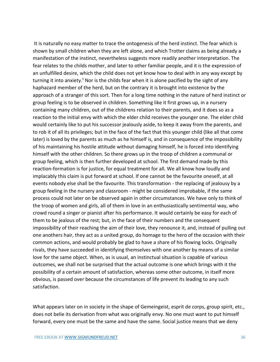It is naturally no easy matter to trace the ontogenesis of the herd instinct. The fear which is shown by small children when they are left alone, and which Trotter claims as being already a manifestation of the instinct, nevertheless suggests more readily another interpretation. The fear relates to the childs mother, and later to other familiar people, and it is the expression of an unfulfilled desire, which the child does not yet know how to deal with in any way except by turning it into anxiety.<sup>1</sup> Nor is the childs fear when it is alone pacified by the sight of any haphazard member of the herd, but on the contrary it is brought into existence by the approach of a stranger of this sort. Then for a long time nothing in the nature of herd instinct or group feeling is to be observed in children. Something like it first grows up, in a nursery containing many children, out of the childrens relation to their parents, and it does so as a reaction to the initial envy with which the elder child receives the younger one. The elder child would certainly like to put his successor jealously aside, to keep it away from the parents, and to rob it of all its privileges; but in the face of the fact that this younger child (like all that come later) is loved by the parents as much as he himself is, and in consequence of the impossibility of his maintaining his hostile attitude without damaging himself, he is forced into identifying himself with the other children. So there grows up in the troop of children a communal or group feeling, which is then further developed at school. The first demand made by this reaction-formation is for justice, for equal treatment for all. We all know how loudly and implacably this claim is put forward at school. If one cannot be the favourite oneself, at all events nobody else shall be the favourite. This transformation - the replacing of jealousy by a group feeling in the nursery and classroom - might be considered improbable, if the same process could not later on be observed again in other circumstances. We have only to think of the troop of women and girls, all of them in love in an enthusiastically sentimental way, who crowd round a singer or pianist after his performance. It would certainly be easy for each of them to be jealous of the rest; but, in the face of their numbers and the consequent impossibility of their reaching the aim of their love, they renounce it, and, instead of pulling out one anothers hair, they act as a united group, do homage to the hero of the occasion with their common actions, and would probably be glad to have a share of his flowing locks. Originally rivals, they have succeeded in identifying themselves with one another by means of a similar love for the same object. When, as is usual, an instinctual situation is capable of various outcomes, we shall not be surprised that the actual outcome is one which brings with it the possibility of a certain amount of satisfaction, whereas some other outcome, in itself more obvious, is passed over because the circumstances of life prevent its leading to any such satisfaction.

What appears later on in society in the shape of Gemeingeist, esprit de corps, group spirit, etc., does not belie its derivation from what was originally envy. No one must want to put himself forward, every one must be the same and have the same. Social justice means that we deny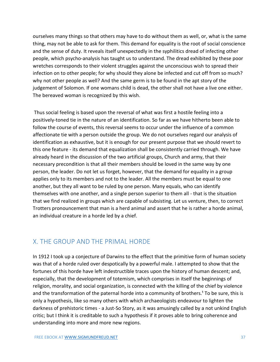ourselves many things so that others may have to do without them as well, or, what is the same thing, may not be able to ask for them. This demand for equality is the root of social conscience and the sense of duty. It reveals itself unexpectedly in the syphilitics dread of infecting other people, which psycho-analysis has taught us to understand. The dread exhibited by these poor wretches corresponds to their violent struggles against the unconscious wish to spread their infection on to other people; for why should they alone be infected and cut off from so much? why not other people as well? And the same germ is to be found in the apt story of the judgement of Solomon. If one womans child is dead, the other shall not have a live one either. The bereaved woman is recognized by this wish.

Thus social feeling is based upon the reversal of what was first a hostile feeling into a positively-toned tie in the nature of an identification. So far as we have hitherto been able to follow the course of events, this reversal seems to occur under the influence of a common affectionate tie with a person outside the group. We do not ourselves regard our analysis of identification as exhaustive, but it is enough for our present purpose that we should revert to this one feature - its demand that equalization shall be consistently carried through. We have already heard in the discussion of the two artificial groups, Church and army, that their necessary precondition is that all their members should be loved in the same way by one person, the leader. Do not let us forget, however, that the demand for equality in a group applies only to its members and not to the leader. All the members must be equal to one another, but they all want to be ruled by one person. Many equals, who can identify themselves with one another, and a single person superior to them all - that is the situation that we find realized in groups which are capable of subsisting. Let us venture, then, to correct Trotters pronouncement that man is a herd animal and assert that he is rather a horde animal, an individual creature in a horde led by a chief.

#### <span id="page-37-0"></span>X. THE GROUP AND THE PRIMAL HORDE

In 1912 I took up a conjecture of Darwins to the effect that the primitive form of human society was that of a horde ruled over despotically by a powerful male. I attempted to show that the fortunes of this horde have left indestructible traces upon the history of human descent; and, especially, that the development of totemism, which comprises in itself the beginnings of religion, morality, and social organization, is connected with the killing of the chief by violence and the transformation of the paternal horde into a community of brothers.<sup>1</sup> To be sure, this is only a hypothesis, like so many others with which archaeologists endeavour to lighten the darkness of prehistoric times - a Just-So Story, as it was amusingly called by a not unkind English critic; but I think it is creditable to such a hypothesis if it proves able to bring coherence and understanding into more and more new regions.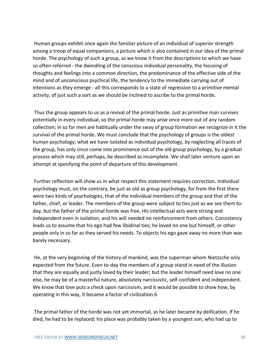Human groups exhibit once again the familiar picture of an individual of superior strength among a troop of equal companions, a picture which is also contained in our idea of the primal horde. The psychology of such a group, as we know it from the descriptions to which we have so often referred - the dwindling of the conscious individual personality, the focusing of thoughts and feelings into a common direction, the predominance of the affective side of the mind and of unconscious psychical life, the tendency to the immediate carrying out of intentions as they emerge - all this corresponds to a state of regression to a primitive mental activity, of just such a sort as we should be inclined to ascribe to the primal horde.

Thus the group appears to us as a revival of the primal horde. Just as primitive man survives potentially in every individual, so the primal horde may arise once more out of any random collection; in so far men are habitually under the sway of group formation we recognize in it the survival of the primal horde. We must conclude that the psychology of groups is the oldest human psychology; what we have isolated as individual psychology, by neglecting all traces of the group, has only since come into prominence out of the old group psychology, by a gradual process which may still, perhaps, be described as incomplete. We shall later venture upon an attempt at specifying the point of departure of this development.

Further reflection will show us in what respect this statement requires correction. Individual psychology must, on the contrary, be just as old as group psychology, for from the first there were two kinds of psychologies, that of the individual members of the group and that of the father, chief, or leader. The members of the group were subject to ties just as we see them today, but the father of the primal horde was free. His intellectual acts were strong and independent even in isolation, and his will needed no reinforcement from others. Consistency leads us to assume that his ego had few libidinal ties; he loved no one but himself, or other people only in so far as they served his needs. To objects his ego gave away no more than was barely necessary.

He, at the very beginning of the history of mankind, was the superman whom Nietzsche only expected from the future. Even to-day the members of a group stand in need of the illusion that they are equally and justly loved by their leader; but the leader himself need love no one else, he may be of a masterful nature, absolutely narcissistic, self-confident and independent. We know that love puts a check upon narcissism, and it would be possible to show how, by operating in this way, it became a factor of civilization.6

The primal father of the horde was not yet immortal, as he later became by deification. If he died, he had to be replaced; his place was probably taken by a youngest son, who had up to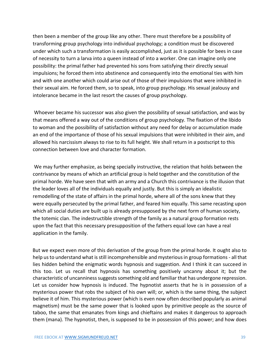then been a member of the group like any other. There must therefore be a possibility of transforming group psychology into individual psychology; a condition must be discovered under which such a transformation is easily accomplished, just as it is possible for bees in case of necessity to turn a larva into a queen instead of into a worker. One can imagine only one possibility: the primal father had prevented his sons from satisfying their directly sexual impulsions; he forced them into abstinence and consequently into the emotional ties with him and with one another which could arise out of those of their impulsions that were inhibited in their sexual aim. He forced them, so to speak, into group psychology. His sexual jealousy and intolerance became in the last resort the causes of group psychology.

Whoever became his successor was also given the possibility of sexual satisfaction, and was by that means offered a way out of the conditions of group psychology. The fixation of the libido to woman and the possibility of satisfaction without any need for delay or accumulation made an end of the importance of those of his sexual impulsions that were inhibited in their aim, and allowed his narcissism always to rise to its full height. We shall return in a postscript to this connection between love and character formation.

We may further emphasize, as being specially instructive, the relation that holds between the contrivance by means of which an artificial group is held together and the constitution of the primal horde. We have seen that with an army and a Church this contrivance is the illusion that the leader loves all of the individuals equally and justly. But this is simply an idealistic remodelling of the state of affairs in the primal horde, where all of the sons knew that they were equally persecuted by the primal father, and feared him equally. This same recasting upon which all social duties are built up is already presupposed by the next form of human society, the totemic clan. The indestructible strength of the family as a natural group formation rests upon the fact that this necessary presupposition of the fathers equal love can have a real application in the family.

But we expect even more of this derivation of the group from the primal horde. It ought also to help us to understand what is still incomprehensible and mysterious in group formations - all that lies hidden behind the enigmatic words hypnosis and suggestion. And I think it can succeed in this too. Let us recall that hypnosis has something positively uncanny about it; but the characteristic of uncanniness suggests something old and familiar that has undergone repression. Let us consider how hypnosis is induced. The hypnotist asserts that he is in possession of a mysterious power that robs the subject of his own will; or, which is the same thing, the subject believe it of him. This mysterious power (which is even now often described popularly as animal magnetism) must be the same power that is looked upon by primitive people as the source of taboo, the same that emanates from kings and chieftains and makes it dangerous to approach them (mana). The hypnotist, then, is supposed to be in possession of this power; and how does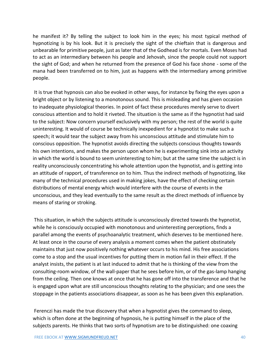he manifest it? By telling the subject to look him in the eyes; his most typical method of hypnotizing is by his look. But it is precisely the sight of the chieftain that is dangerous and unbearable for primitive people, just as later that of the Godhead is for mortals. Even Moses had to act as an intermediary between his people and Jehovah, since the people could not support the sight of God; and when he returned from the presence of God his face shone - some of the mana had been transferred on to him, just as happens with the intermediary among primitive people.

It is true that hypnosis can also be evoked in other ways, for instance by fixing the eyes upon a bright object or by listening to a monotonous sound. This is misleading and has given occasion to inadequate physiological theories. In point of fact these procedures merely serve to divert conscious attention and to hold it riveted. The situation is the same as if the hypnotist had said to the subject: Now concern yourself exclusively with my person; the rest of the world is quite uninteresting. It would of course be technically inexpedient for a hypnotist to make such a speech; it would tear the subject away from his unconscious attitude and stimulate him to conscious opposition. The hypnotist avoids directing the subjects conscious thoughts towards his own intentions, and makes the person upon whom he is experimenting sink into an activity in which the world is bound to seem uninteresting to him; but at the same time the subject is in reality unconsciously concentrating his whole attention upon the hypnotist, and is getting into an attitude of rapport, of transference on to him. Thus the indirect methods of hypnotizing, like many of the technical procedures used in making jokes, have the effect of checking certain distributions of mental energy which would interfere with the course of events in the unconscious, and they lead eventually to the same result as the direct methods of influence by means of staring or stroking.

This situation, in which the subjects attitude is unconsciously directed towards the hypnotist, while he is consciously occupied with monotonous and uninteresting perceptions, finds a parallel among the events of psychoanalytic treatment, which deserves to be mentioned here. At least once in the course of every analysis a moment comes when the patient obstinately maintains that just now positively nothing whatever occurs to his mind. His free associations come to a stop and the usual incentives for putting them in motion fail in their effect. If the analyst insists, the patient is at last induced to admit that he is thinking of the view from the consulting-room window, of the wall-paper that he sees before him, or of the gas-lamp hanging from the ceiling. Then one knows at once that he has gone off into the transference and that he is engaged upon what are still unconscious thoughts relating to the physician; and one sees the stoppage in the patients associations disappear, as soon as he has been given this explanation.

Ferenczi has made the true discovery that when a hypnotist gives the command to sleep, which is often done at the beginning of hypnosis, he is putting himself in the place of the subjects parents. He thinks that two sorts of hypnotism are to be distinguished: one coaxing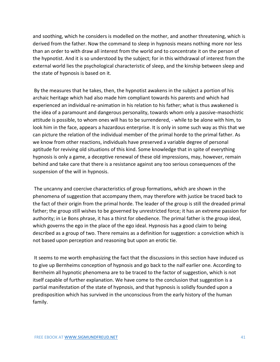and soothing, which he considers is modelled on the mother, and another threatening, which is derived from the father. Now the command to sleep in hypnosis means nothing more nor less than an order to with draw all interest from the world and to concentrate it on the person of the hypnotist. And it is so understood by the subject; for in this withdrawal of interest from the external world lies the psychological characteristic of sleep, and the kinship between sleep and the state of hypnosis is based on it.

By the measures that he takes, then, the hypnotist awakens in the subject a portion of his archaic heritage which had also made him compliant towards his parents and which had experienced an individual re-animation in his relation to his father; what is thus awakened is the idea of a paramount and dangerous personality, towards whom only a passive-masochistic attitude is possible, to whom ones will has to be surrendered, - while to be alone with him, to look him in the face, appears a hazardous enterprise. It is only in some such way as this that we can picture the relation of the individual member of the primal horde to the primal father. As we know from other reactions, individuals have preserved a variable degree of personal aptitude for reviving old situations of this kind. Some knowledge that in spite of everything hypnosis is only a game, a deceptive renewal of these old impressions, may, however, remain behind and take care that there is a resistance against any too serious consequences of the suspension of the will in hypnosis.

The uncanny and coercive characteristics of group formations, which are shown in the phenomena of suggestion that accompany them, may therefore with justice be traced back to the fact of their origin from the primal horde. The leader of the group is still the dreaded primal father; the group still wishes to be governed by unrestricted force; it has an extreme passion for authority; in Le Bons phrase, it has a thirst for obedience. The primal father is the group ideal, which governs the ego in the place of the ego ideal. Hypnosis has a good claim to being described as a group of two. There remains as a definition for suggestion: a conviction which is not based upon perception and reasoning but upon an erotic tie.

It seems to me worth emphasizing the fact that the discussions in this section have induced us to give up Bernheims conception of hypnosis and go back to the naïf earlier one. According to Bernheim all hypnotic phenomena are to be traced to the factor of suggestion, which is not itself capable of further explanation. We have come to the conclusion that suggestion is a partial manifestation of the state of hypnosis, and that hypnosis is solidly founded upon a predisposition which has survived in the unconscious from the early history of the human family.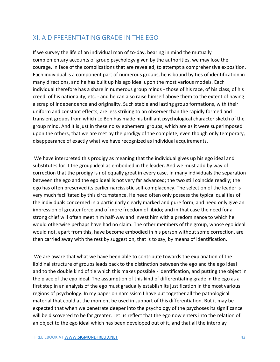### <span id="page-42-0"></span>XI. A DIFFERENTIATING GRADE IN THE EGO

If we survey the life of an individual man of to-day, bearing in mind the mutually complementary accounts of group psychology given by the authorities, we may lose the courage, in face of the complications that are revealed, to attempt a comprehensive exposition. Each individual is a component part of numerous groups, he is bound by ties of identification in many directions, and he has built up his ego ideal upon the most various models. Each individual therefore has a share in numerous group minds - those of his race, of his class, of his creed, of his nationality, etc. - and he can also raise himself above them to the extent of having a scrap of independence and originality. Such stable and lasting group formations, with their uniform and constant effects, are less striking to an observer than the rapidly formed and transient groups from which Le Bon has made his brilliant psychological character sketch of the group mind. And it is just in these noisy ephemeral groups, which are as it were superimposed upon the others, that we are met by the prodigy of the complete, even though only temporary, disappearance of exactly what we have recognized as individual acquirements.

We have interpreted this prodigy as meaning that the individual gives up his ego ideal and substitutes for it the group ideal as embodied in the leader. And we must add by way of correction that the prodigy is not equally great in every case. In many individuals the separation between the ego and the ego ideal is not very far advanced; the two still coincide readily; the ego has often preserved its earlier narcissistic self-complacency. The selection of the leader is very much facilitated by this circumstance. He need often only possess the typical qualities of the individuals concerned in a particularly clearly marked and pure form, and need only give an impression of greater force and of more freedom of libido; and in that case the need for a strong chief will often meet him half-way and invest him with a predominance to which he would otherwise perhaps have had no claim. The other members of the group, whose ego ideal would not, apart from this, have become embodied in his person without some correction, are then carried away with the rest by suggestion, that is to say, by means of identification.

We are aware that what we have been able to contribute towards the explanation of the libidinal structure of groups leads back to the distinction between the ego and the ego ideal and to the double kind of tie which this makes possible - identification, and putting the object in the place of the ego ideal. The assumption of this kind of differentiating grade in the ego as a first step in an analysis of the ego must gradually establish its justification in the most various regions of psychology. In my paper on narcissism I have put together all the pathological material that could at the moment be used in support of this differentiation. But it may be expected that when we penetrate deeper into the psychology of the psychoses its significance will be discovered to be far greater. Let us reflect that the ego now enters into the relation of an object to the ego ideal which has been developed out of it, and that all the interplay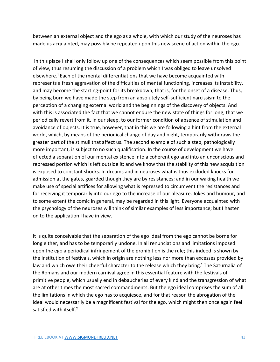between an external object and the ego as a whole, with which our study of the neuroses has made us acquainted, may possibly be repeated upon this new scene of action within the ego.

In this place I shall only follow up one of the consequences which seem possible from this point of view, thus resuming the discussion of a problem which I was obliged to leave unsolved elsewhere.<sup>1</sup> Each of the mental differentiations that we have become acquainted with represents a fresh aggravation of the difficulties of mental functioning, increases its instability, and may become the starting-point for its breakdown, that is, for the onset of a disease. Thus, by being born we have made the step from an absolutely self-sufficient narcissism to the perception of a changing external world and the beginnings of the discovery of objects. And with this is associated the fact that we cannot endure the new state of things for long, that we periodically revert from it, in our sleep, to our former condition of absence of stimulation and avoidance of objects. It is true, however, that in this we are following a hint from the external world, which, by means of the periodical change of day and night, temporarily withdraws the greater part of the stimuli that affect us. The second example of such a step, pathologically more important, is subject to no such qualification. In the course of development we have effected a separation of our mental existence into a coherent ego and into an unconscious and repressed portion which is left outside it; and we know that the stability of this new acquisition is exposed to constant shocks. In dreams and in neuroses what is thus excluded knocks for admission at the gates, guarded though they are by resistances; and in our waking health we make use of special artifices for allowing what is repressed to circumvent the resistances and for receiving it temporarily into our ego to the increase of our pleasure. Jokes and humour, and to some extent the comic in general, may be regarded in this light. Everyone acquainted with the psychology of the neuroses will think of similar examples of less importance; but I hasten on to the application I have in view.

It is quite conceivable that the separation of the ego ideal from the ego cannot be borne for long either, and has to be temporarily undone. In all renunciations and limitations imposed upon the ego a periodical infringement of the prohibition is the rule; this indeed is shown by the institution of festivals, which in origin are nothing less nor more than excesses provided by law and which owe their cheerful character to the release which they bring.<sup>1</sup> The Saturnalia of the Romans and our modern carnival agree in this essential feature with the festivals of primitive people, which usually end in debaucheries of every kind and the transgression of what are at other times the most sacred commandments. But the ego ideal comprises the sum of all the limitations in which the ego has to acquiesce, and for that reason the abrogation of the ideal would necessarily be a magnificent festival for the ego, which might then once again feel satisfied with itself.<sup>2</sup>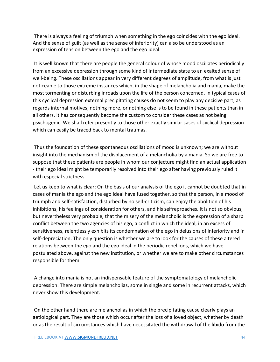There is always a feeling of triumph when something in the ego coincides with the ego ideal. And the sense of guilt (as well as the sense of inferiority) can also be understood as an expression of tension between the ego and the ego ideal.

It is well known that there are people the general colour of whose mood oscillates periodically from an excessive depression through some kind of intermediate state to an exalted sense of well-being. These oscillations appear in very different degrees of amplitude, from what is just noticeable to those extreme instances which, in the shape of melancholia and mania, make the most tormenting or disturbing inroads upon the life of the person concerned. In typical cases of this cyclical depression external precipitating causes do not seem to play any decisive part; as regards internal motives, nothing more, or nothing else is to be found in these patients than in all others. It has consequently become the custom to consider these cases as not being psychogenic. We shall refer presently to those other exactly similar cases of cyclical depression which can easily be traced back to mental traumas.

Thus the foundation of these spontaneous oscillations of mood is unknown; we are without insight into the mechanism of the displacement of a melancholia by a mania. So we are free to suppose that these patients are people in whom our conjecture might find an actual application - their ego ideal might be temporarily resolved into their ego after having previously ruled it with especial strictness.

Let us keep to what is clear: On the basis of our analysis of the ego it cannot be doubted that in cases of mania the ego and the ego ideal have fused together, so that the person, in a mood of triumph and self-satisfaction, disturbed by no self-criticism, can enjoy the abolition of his inhibitions, his feelings of consideration for others, and his selfreproaches. It is not so obvious, but nevertheless very probable, that the misery of the melancholic is the expression of a sharp conflict between the two agencies of his ego, a conflict in which the ideal, in an excess of sensitiveness, relentlessly exhibits its condemnation of the ego in delusions of inferiority and in self-depreciation. The only question is whether we are to look for the causes of these altered relations between the ego and the ego ideal in the periodic rebellions, which we have postulated above, against the new institution, or whether we are to make other circumstances responsible for them.

A change into mania is not an indispensable feature of the symptomatology of melancholic depression. There are simple melancholias, some in single and some in recurrent attacks, which never show this development.

On the other hand there are melancholias in which the precipitating cause clearly plays an aetiological part. They are those which occur after the loss of a loved object, whether by death or as the result of circumstances which have necessitated the withdrawal of the libido from the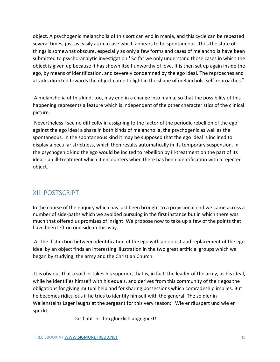object. A psychogenic melancholia of this sort can end in mania, and this cycle can be repeated several times, just as easily as in a case which appears to be spontaneous. Thus the state of things is somewhat obscure, especially as only a few forms and cases of melancholia have been submitted to psycho-analytic investigation.<sup>1</sup> So far we only understand those cases in which the object is given up because it has shown itself unworthy of love. It is then set up again inside the ego, by means of identification, and severely condemned by the ego ideal. The reproaches and attacks directed towards the object come to light in the shape of melancholic self-reproaches.<sup>2</sup>

A melancholia of this kind, too, may end in a change into mania; so that the possibility of this happening represents a feature which is independent of the other characteristics of the clinical picture.

Nevertheless I see no difficulty in assigning to the factor of the periodic rebellion of the ego against the ego ideal a share in both kinds of melancholia, the psychogenic as well as the spontaneous. In the spontaneous kind it may be supposed that the ego ideal is inclined to display a peculiar strictness, which then results automatically in its temporary suspension. In the psychogenic kind the ego would be incited to rebellion by ill-treatment on the part of its ideal - an ill-treatment which it encounters when there has been identification with a rejected object.

# <span id="page-45-0"></span>XII. POSTSCRIPT

In the course of the enquiry which has just been brought to a provisional end we came across a number of side-paths which we avoided pursuing in the first instance but in which there was much that offered us promises of insight. We propose now to take up a few of the points that have been left on one side in this way.

A. The distinction between identification of the ego with an object and replacement of the ego ideal by an object finds an interesting illustration in the two great artificial groups which we began by studying, the army and the Christian Church.

It is obvious that a soldier takes his superior, that is, in fact, the leader of the army, as his ideal, while he identifies himself with his equals, and derives from this community of their egos the obligations for giving mutual help and for sharing possessions which comradeship implies. But he becomes ridiculous if he tries to identify himself with the general. The soldier in Wallensteins Lager laughs at the sergeant for this very reason: Wie er räuspert und wie er spuckt,

Das habt ihr ihm glücklich abgeguckt!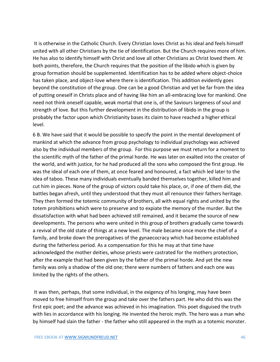It is otherwise in the Catholic Church. Every Christian loves Christ as his ideal and feels himself united with all other Christians by the tie of identification. But the Church requires more of him. He has also to identify himself with Christ and love all other Christians as Christ loved them. At both points, therefore, the Church requires that the position of the libido which is given by group formation should be supplemented. Identification has to be added where object-choice has taken place, and object-love where there is identification. This addition evidently goes beyond the constitution of the group. One can be a good Christian and yet be far from the idea of putting oneself in Christs place and of having like him an all-embracing love for mankind. One need not think oneself capable, weak mortal that one is, of the Saviours largeness of soul and strength of love. But this further development in the distribution of libido in the group is probably the factor upon which Christianity bases its claim to have reached a higher ethical level.

6 B. We have said that it would be possible to specify the point in the mental development of mankind at which the advance from group psychology to individual psychology was achieved also by the individual members of the group. For this purpose we must return for a moment to the scientific myth of the father of the primal horde. He was later on exalted into the creator of the world, and with justice, for he had produced all the sons who composed the first group. He was the ideal of each one of them, at once feared and honoured, a fact which led later to the idea of taboo. These many individuals eventually banded themselves together, killed him and cut him in pieces. None of the group of victors could take his place, or, if one of them did, the battles began afresh, until they understood that they must all renounce their fathers heritage. They then formed the totemic community of brothers, all with equal rights and united by the totem prohibitions which were to preserve and to expiate the memory of the murder. But the dissatisfaction with what had been achieved still remained, and it became the source of new developments. The persons who were united in this group of brothers gradually came towards a revival of the old state of things at a new level. The male became once more the chief of a family, and broke down the prerogatives of the gynaecocracy which had become established during the fatherless period. As a compensation for this he may at that time have acknowledged the mother deities, whose priests were castrated for the mothers protection, after the example that had been given by the father of the primal horde. And yet the new family was only a shadow of the old one; there were numbers of fathers and each one was limited by the rights of the others.

It was then, perhaps, that some individual, in the exigency of his longing, may have been moved to free himself from the group and take over the fathers part. He who did this was the first epic poet; and the advance was achieved in his imagination. This poet disguised the truth with lies in accordance with his longing. He invented the heroic myth. The hero was a man who by himself had slain the father - the father who still appeared in the myth as a totemic monster.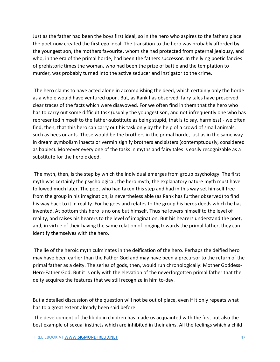Just as the father had been the boys first ideal, so in the hero who aspires to the fathers place the poet now created the first ego ideal. The transition to the hero was probably afforded by the youngest son, the mothers favourite, whom she had protected from paternal jealousy, and who, in the era of the primal horde, had been the fathers successor. In the lying poetic fancies of prehistoric times the woman, who had been the prize of battle and the temptation to murder, was probably turned into the active seducer and instigator to the crime.

The hero claims to have acted alone in accomplishing the deed, which certainly only the horde as a whole would have ventured upon. But, as Rank has observed, fairy tales have preserved clear traces of the facts which were disavowed. For we often find in them that the hero who has to carry out some difficult task (usually the youngest son, and not infrequently one who has represented himself to the father-substitute as being stupid, that is to say, harmless) - we often find, then, that this hero can carry out his task only by the help of a crowd of small animals, such as bees or ants. These would be the brothers in the primal horde, just as in the same way in dream symbolism insects or vermin signify brothers and sisters (contemptuously, considered as babies). Moreover every one of the tasks in myths and fairy tales is easily recognizable as a substitute for the heroic deed.

The myth, then, is the step by which the individual emerges from group psychology. The first myth was certainly the psychological, the hero myth; the explanatory nature myth must have followed much later. The poet who had taken this step and had in this way set himself free from the group in his imagination, is nevertheless able (as Rank has further observed) to find his way back to it in reality. For he goes and relates to the group his heros deeds which he has invented. At bottom this hero is no one but himself. Thus he lowers himself to the level of reality, and raises his hearers to the level of imagination. But his hearers understand the poet, and, in virtue of their having the same relation of longing towards the primal father, they can identify themselves with the hero.

The lie of the heroic myth culminates in the deification of the hero. Perhaps the deified hero may have been earlier than the Father God and may have been a precursor to the return of the primal father as a deity. The series of gods, then, would run chronologically: Mother Goddess-Hero-Father God. But it is only with the elevation of the neverforgotten primal father that the deity acquires the features that we still recognize in him to-day.

But a detailed discussion of the question will not be out of place, even if it only repeats what has to a great extent already been said before.

The development of the libido in children has made us acquainted with the first but also the best example of sexual instincts which are inhibited in their aims. All the feelings which a child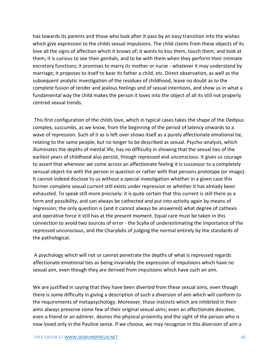has towards its parents and those who look after it pass by an easy transition into the wishes which give expression to the childs sexual impulsions. The child claims from these objects of its love all the signs of affection which it knows of; it wants to kiss them, touch them, and look at them; it is curious to see their genitals, and to be with them when they perform their intimate excretory functions; it promises to marry its mother or nurse - whatever it may understand by marriage; it proposes to itself to bear its father a child, etc. Direct observation, as well as the subsequent analytic investigation of the residues of childhood, leave no doubt as to the complete fusion of tender and jealous feelings and of sexual intentions, and show us in what a fundamental way the child makes the person it loves into the object of all its still not properly centred sexual trends.

This first configuration of the childs love, which in typical cases takes the shape of the Oedipus complex, succumbs, as we know, from the beginning of the period of latency onwards to a wave of repression. Such of it as is left over shows itself as a purely affectionate emotional tie, relating to the same people, but no longer to be described as sexual. Psycho-analysis, which illuminates the depths of mental life, has no difficulty in showing that the sexual ties of the earliest years of childhood also persist, though repressed and unconscious. It gives us courage to assert that wherever we come across an affectionate feeling it is successor to a completely sensual object-tie with the person in question or rather with that persons prototype (or imago). It cannot indeed disclose to us without a special investigation whether in a given case this former complete sexual current still exists under repression or whether it has already been exhausted. To speak still more precisely: it is quite certain that this current is still there as a form and possibility, and can always be cathected and put into activity again by means of regression; the only question is (and it cannot always be answered) what degree of cathexis and operative force it still has at the present moment. Equal care must be taken in this connection to avoid two sources of error - the Scylla of underestimating the importance of the repressed unconscious, and the Charybdis of judging the normal entirely by the standards of the pathological.

A psychology which will not or cannot penetrate the depths of what is repressed regards affectionate emotional ties as being invariably the expression of impulsions which have no sexual aim, even though they are derived from impulsions which have such an aim.

We are justified in saying that they have been diverted from these sexual aims, even though there is some difficulty in giving a description of such a diversion of aim which will conform to the requirements of metapsychology. Moreover, those instincts which are inhibited in their aims always preserve some few of their original sexual aims; even an affectionate devotee, even a friend or an admirer, desires the physical proximity and the sight of the person who is now loved only in the Pauline sense. If we choose, we may recognize in this diversion of aim a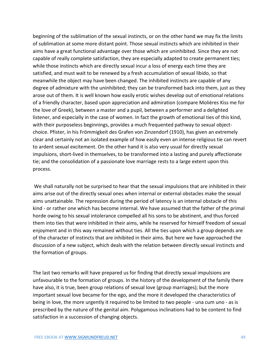beginning of the sublimation of the sexual instincts, or on the other hand we may fix the limits of sublimation at some more distant point. Those sexual instincts which are inhibited in their aims have a great functional advantage over those which are uninhibited. Since they are not capable of really complete satisfaction, they are especially adapted to create permanent ties; while those instincts which are directly sexual incur a loss of energy each time they are satisfied, and must wait to be renewed by a fresh accumulation of sexual libido, so that meanwhile the object may have been changed. The inhibited instincts are capable of any degree of admixture with the uninhibited; they can be transformed back into them, just as they arose out of them. It is well known how easily erotic wishes develop out of emotional relations of a friendly character, based upon appreciation and admiration (compare Molières Kiss me for the love of Greek), between a master and a pupil, between a performer and a delighted listener, and especially in the case of women. In fact the growth of emotional ties of this kind, with their purposeless beginnings, provides a much frequented pathway to sexual objectchoice. Pfister, in his Frömmigkeit des Grafen von Zinzendorf (1910), has given an extremely clear and certainly not an isolated example of how easily even an intense religious tie can revert to ardent sexual excitement. On the other hand it is also very usual for directly sexual impulsions, short-lived in themselves, to be transformed into a lasting and purely affectionate tie; and the consolidation of a passionate love marriage rests to a large extent upon this process.

We shall naturally not be surprised to hear that the sexual impulsions that are inhibited in their aims arise out of the directly sexual ones when internal or external obstacles make the sexual aims unattainable. The repression during the period of latency is an internal obstacle of this kind - or rather one which has become internal. We have assumed that the father of the primal horde owing to his sexual intolerance compelled all his sons to be abstinent, and thus forced them into ties that were inhibited in their aims, while he reserved for himself freedom of sexual enjoyment and in this way remained without ties. All the ties upon which a group depends are of the character of instincts that are inhibited in their aims. But here we have approached the discussion of a new subject, which deals with the relation between directly sexual instincts and the formation of groups.

The last two remarks will have prepared us for finding that directly sexual impulsions are unfavourable to the formation of groups. In the history of the development of the family there have also, it is true, been group relations of sexual love (group marriages); but the more important sexual love became for the ego, and the more it developed the characteristics of being in love, the more urgently it required to be limited to two people - una cum uno - as is prescribed by the nature of the genital aim. Polygamous inclinations had to be content to find satisfaction in a succession of changing objects.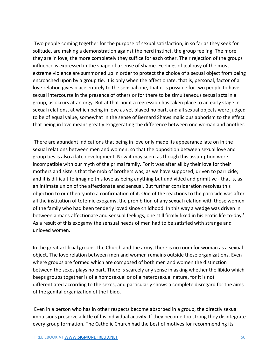Two people coming together for the purpose of sexual satisfaction, in so far as they seek for solitude, are making a demonstration against the herd instinct, the group feeling. The more they are in love, the more completely they suffice for each other. Their rejection of the groups influence is expressed in the shape of a sense of shame. Feelings of jealousy of the most extreme violence are summoned up in order to protect the choice of a sexual object from being encroached upon by a group tie. It is only when the affectionate, that is, personal, factor of a love relation gives place entirely to the sensual one, that it is possible for two people to have sexual intercourse in the presence of others or for there to be simultaneous sexual acts in a group, as occurs at an orgy. But at that point a regression has taken place to an early stage in sexual relations, at which being in love as yet played no part, and all sexual objects were judged to be of equal value, somewhat in the sense of Bernard Shaws malicious aphorism to the effect that being in love means greatly exaggerating the difference between one woman and another.

There are abundant indications that being in love only made its appearance late on in the sexual relations between men and women; so that the opposition between sexual love and group ties is also a late development. Now it may seem as though this assumption were incompatible with our myth of the primal family. For it was after all by their love for their mothers and sisters that the mob of brothers was, as we have supposed, driven to parricide; and it is difficult to imagine this love as being anything but undivided and primitive - that is, as an intimate union of the affectionate and sensual. But further consideration resolves this objection to our theory into a confirmation of it. One of the reactions to the parricide was after all the institution of totemic exogamy, the prohibition of any sexual relation with those women of the family who had been tenderly loved since childhood. In this way a wedge was driven in between a mans affectionate and sensual feelings, one still firmly fixed in his erotic life to-day.<sup>1</sup> As a result of this exogamy the sensual needs of men had to be satisfied with strange and unloved women.

In the great artificial groups, the Church and the army, there is no room for woman as a sexual object. The love relation between men and women remains outside these organizations. Even where groups are formed which are composed of both men and women the distinction between the sexes plays no part. There is scarcely any sense in asking whether the libido which keeps groups together is of a homosexual or of a heterosexual nature, for it is not differentiated according to the sexes, and particularly shows a complete disregard for the aims of the genital organization of the libido.

Even in a person who has in other respects become absorbed in a group, the directly sexual impulsions preserve a little of his individual activity. If they become too strong they disintegrate every group formation. The Catholic Church had the best of motives for recommending its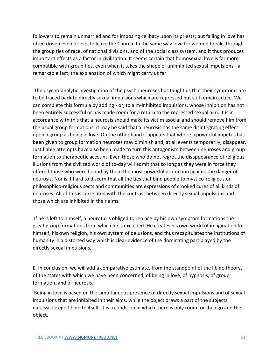followers to remain unmarried and for imposing celibacy upon its priests; but falling in love has often driven even priests to leave the Church. In the same way love for women breaks through the group ties of race, of national divisions, and of the social class system, and it thus produces important effects as a factor in civilization. It seems certain that homosexual love is far more compatible with group ties, even when it takes the shape of uninhibited sexual impulsions - a remarkable fact, the explanation of which might carry us far.

The psycho-analytic investigation of the psychoneuroses has taught us that their symptoms are to be traced back to directly sexual impulsions which are repressed but still remain active. We can complete this formula by adding - or, to aim-inhibited impulsions, whose inhibition has not been entirely successful or has made room for a return to the repressed sexual aim. It is in accordance with this that a neurosis should make its victim asocial and should remove him from the usual group formations. It may be said that a neurosis has the same disintegrating effect upon a group as being in love. On the other hand it appears that where a powerful impetus has been given to group formation neuroses may diminish and, at all events temporarily, disappear. Justifiable attempts have also been made to turn this antagonism between neuroses and group formation to therapeutic account. Even those who do not regret the disappearance of religious illusions from the civilized world of to-day will admit that so long as they were in force they offered those who were bound by them the most powerful protection against the danger of neurosis. Nor is it hard to discern that all the ties that bind people to mystico-religious or philosophico-religious sects and communities are expressions of crooked cures of all kinds of neuroses. All of this is correlated with the contrast between directly sexual impulsions and those which are inhibited in their aims.

If he is left to himself, a neurotic is obliged to replace by his own symptom formations the great group formations from which he is excluded. He creates his own world of imagination for himself, his own religion, his own system of delusions, and thus recapitulates the institutions of humanity in a distorted way which is clear evidence of the dominating part played by the directly sexual impulsions.

E. In conclusion, we will add a comparative estimate, from the standpoint of the libido theory, of the states with which we have been concerned, of being in love, of hypnosis, of group formation, and of neurosis.

Being in love is based on the simultaneous presence of directly sexual impulsions and of sexual impulsions that are inhibited in their aims, while the object draws a part of the subjects narcissistic ego-libido to itself. It is a condition in which there is only room for the ego and the object.